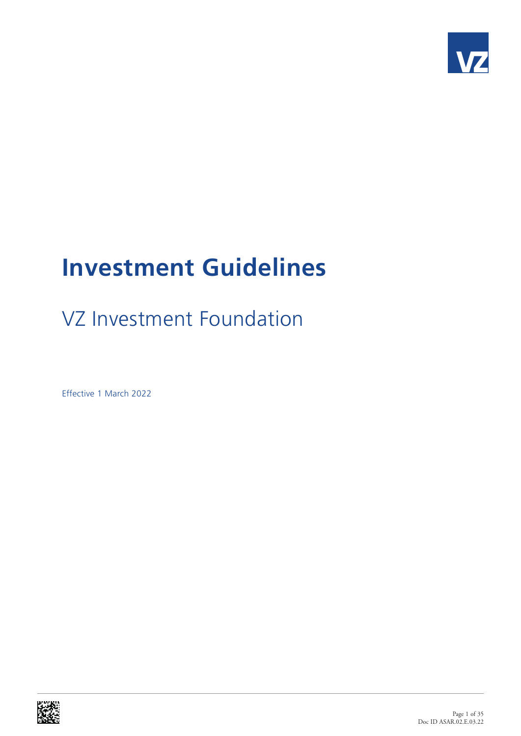

# **Investment Guidelines**

# VZ Investment Foundation

Effective 1 March 2022

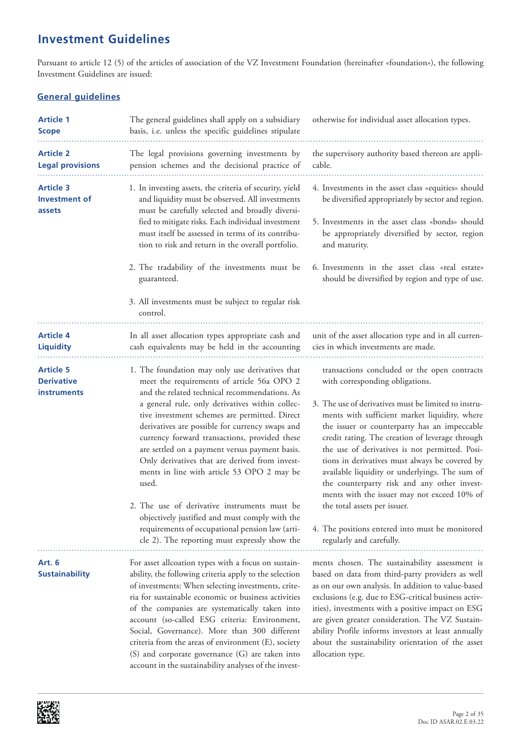# **Investment Guidelines**

Pursuant to article 12 (5) of the articles of association of the VZ Investment Foundation (hereinafter «foundation»), the following Investment Guidelines are issued:

### **General guidelines**

| <b>Article 1</b><br><b>Scope</b>                            | The general guidelines shall apply on a subsidiary<br>basis, i.e. unless the specific guidelines stipulate                                                                                                                                                                                                                                                                                                                                                                                                                                                                                                                                                                                                              | otherwise for individual asset allocation types.                                                                                                                                                                                                                                                                                                                                                                                                                                                                                                                                                                                                               |
|-------------------------------------------------------------|-------------------------------------------------------------------------------------------------------------------------------------------------------------------------------------------------------------------------------------------------------------------------------------------------------------------------------------------------------------------------------------------------------------------------------------------------------------------------------------------------------------------------------------------------------------------------------------------------------------------------------------------------------------------------------------------------------------------------|----------------------------------------------------------------------------------------------------------------------------------------------------------------------------------------------------------------------------------------------------------------------------------------------------------------------------------------------------------------------------------------------------------------------------------------------------------------------------------------------------------------------------------------------------------------------------------------------------------------------------------------------------------------|
| <b>Article 2</b><br><b>Legal provisions</b>                 | The legal provisions governing investments by<br>pension schemes and the decisional practice of                                                                                                                                                                                                                                                                                                                                                                                                                                                                                                                                                                                                                         | the supervisory authority based thereon are appli-<br>cable.                                                                                                                                                                                                                                                                                                                                                                                                                                                                                                                                                                                                   |
| <b>Article 3</b><br><b>Investment of</b><br>assets          | 1. In investing assets, the criteria of security, yield<br>and liquidity must be observed. All investments<br>must be carefully selected and broadly diversi-<br>fied to mitigate risks. Each individual investment<br>must itself be assessed in terms of its contribu-<br>tion to risk and return in the overall portfolio.<br>2. The tradability of the investments must be<br>guaranteed.<br>3. All investments must be subject to regular risk<br>control.                                                                                                                                                                                                                                                         | 4. Investments in the asset class «equities» should<br>be diversified appropriately by sector and region.<br>5. Investments in the asset class «bonds» should<br>be appropriately diversified by sector, region<br>and maturity.<br>6. Investments in the asset class «real estate»<br>should be diversified by region and type of use.                                                                                                                                                                                                                                                                                                                        |
| <b>Article 4</b><br><b>Liquidity</b>                        | In all asset allocation types appropriate cash and<br>cash equivalents may be held in the accounting                                                                                                                                                                                                                                                                                                                                                                                                                                                                                                                                                                                                                    | unit of the asset allocation type and in all curren-<br>cies in which investments are made.                                                                                                                                                                                                                                                                                                                                                                                                                                                                                                                                                                    |
| <b>Article 5</b><br><b>Derivative</b><br><b>instruments</b> | 1. The foundation may only use derivatives that<br>meet the requirements of article 56a OPO 2<br>and the related technical recommendations. As<br>a general rule, only derivatives within collec-<br>tive investment schemes are permitted. Direct<br>derivatives are possible for currency swaps and<br>currency forward transactions, provided these<br>are settled on a payment versus payment basis.<br>Only derivatives that are derived from invest-<br>ments in line with article 53 OPO 2 may be<br>used.<br>2. The use of derivative instruments must be<br>objectively justified and must comply with the<br>requirements of occupational pension law (arti-<br>cle 2). The reporting must expressly show the | transactions concluded or the open contracts<br>with corresponding obligations.<br>3. The use of derivatives must be limited to instru-<br>ments with sufficient market liquidity, where<br>the issuer or counterparty has an impeccable<br>credit rating. The creation of leverage through<br>the use of derivatives is not permitted. Posi-<br>tions in derivatives must always be covered by<br>available liquidity or underlyings. The sum of<br>the counterparty risk and any other invest-<br>ments with the issuer may not exceed 10% of<br>the total assets per issuer.<br>4. The positions entered into must be monitored<br>regularly and carefully. |
| Art. 6<br><b>Sustainability</b>                             | For asset allcoation types with a focus on sustain-<br>ability, the following criteria apply to the selection<br>of investments: When selecting investments, crite-<br>ria for sustainable economic or business activities<br>of the companies are systematically taken into<br>account (so-called ESG criteria: Environment,<br>Social, Governance). More than 300 different<br>criteria from the areas of environment (E), society<br>(S) and corporate governance (G) are taken into<br>account in the sustainability analyses of the invest-                                                                                                                                                                        | ments chosen. The sustainability assessment is<br>based on data from third-party providers as well<br>as on our own analysis. In addition to value-based<br>exclusions (e.g. due to ESG-critical business activ-<br>ities), investments with a positive impact on ESG<br>are given greater consideration. The VZ Sustain-<br>ability Profile informs investors at least annually<br>about the sustainability orientation of the asset<br>allocation type.                                                                                                                                                                                                      |

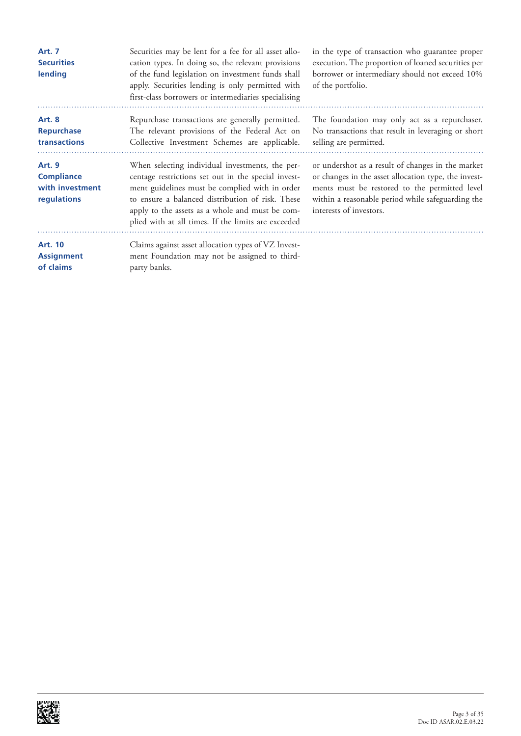| <b>Art. 7</b><br><b>Securities</b><br>lending                        | Securities may be lent for a fee for all asset allo-<br>cation types. In doing so, the relevant provisions<br>of the fund legislation on investment funds shall<br>apply. Securities lending is only permitted with<br>first-class borrowers or intermediaries specialising                                            | in the type of transaction who guarantee proper<br>execution. The proportion of loaned securities per<br>borrower or intermediary should not exceed 10%<br>of the portfolio.                                                               |
|----------------------------------------------------------------------|------------------------------------------------------------------------------------------------------------------------------------------------------------------------------------------------------------------------------------------------------------------------------------------------------------------------|--------------------------------------------------------------------------------------------------------------------------------------------------------------------------------------------------------------------------------------------|
| <b>Art. 8</b><br><b>Repurchase</b><br>transactions                   | Repurchase transactions are generally permitted.<br>The relevant provisions of the Federal Act on<br>Collective Investment Schemes are applicable.                                                                                                                                                                     | The foundation may only act as a repurchaser.<br>No transactions that result in leveraging or short<br>selling are permitted.                                                                                                              |
| <b>Art. 9</b><br><b>Compliance</b><br>with investment<br>regulations | When selecting individual investments, the per-<br>centage restrictions set out in the special invest-<br>ment guidelines must be complied with in order<br>to ensure a balanced distribution of risk. These<br>apply to the assets as a whole and must be com-<br>plied with at all times. If the limits are exceeded | or undershot as a result of changes in the market<br>or changes in the asset allocation type, the invest-<br>ments must be restored to the permitted level<br>within a reasonable period while safeguarding the<br>interests of investors. |
| <b>Art. 10</b><br><b>Assignment</b><br>of claims                     | Claims against asset allocation types of VZ Invest-<br>ment Foundation may not be assigned to third-<br>party banks.                                                                                                                                                                                                   |                                                                                                                                                                                                                                            |

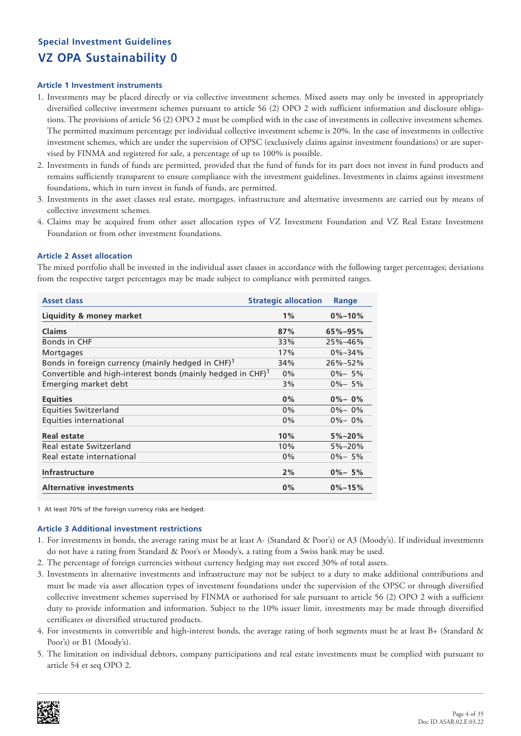### **Article 1 Investment instruments**

- 1. Investments may be placed directly or via collective investment schemes. Mixed assets may only be invested in appropriately diversified collective investment schemes pursuant to article 56 (2) OPO 2 with sufficient information and disclosure obligations. The provisions of article 56 (2) OPO 2 must be complied with in the case of investments in collective investment schemes. The permitted maximum percentage per individual collective investment scheme is 20%. In the case of investments in collective investment schemes, which are under the supervision of OPSC (exclusively claims against investment foundations) or are supervised by FINMA and registered for sale, a percentage of up to 100% is possible.
- 2. Investments in funds of funds are permitted, provided that the fund of funds for its part does not invest in fund products and remains sufficiently transparent to ensure compliance with the investment guidelines. Investments in claims against investment foundations, which in turn invest in funds of funds, are permitted.
- 3. Investments in the asset classes real estate, mortgages, infrastructure and alternative investments are carried out by means of collective investment schemes.
- 4. Claims may be acquired from other asset allocation types of VZ Investment Foundation and VZ Real Estate Investment Foundation or from other investment foundations.

### **Article 2 Asset allocation**

The mixed portfolio shall be invested in the individual asset classes in accordance with the following target percentages; deviations from the respective target percentages may be made subject to compliance with permitted ranges.

| <b>Asset class</b>                                                         | <b>Strategic allocation</b> | Range         |
|----------------------------------------------------------------------------|-----------------------------|---------------|
| Liquidity & money market                                                   | 1%                          | $0\% - 10\%$  |
| <b>Claims</b>                                                              | 87%                         | $65\% - 95\%$ |
| Bonds in CHF                                                               | 33%                         | 25%-46%       |
| Mortgages                                                                  | 17%                         | $0\% - 34\%$  |
| Bonds in foreign currency (mainly hedged in CHF) <sup>1</sup>              | 34%                         | $26\% - 52\%$ |
| Convertible and high-interest bonds (mainly hedged in $CHF$ ) <sup>1</sup> | $0\%$                       | $0\% - 5\%$   |
| Emerging market debt                                                       | 3%                          | $0\% - 5\%$   |
| <b>Equities</b>                                                            | 0%                          | $0\% - 0\%$   |
| Equities Switzerland                                                       | $0\%$                       | $0\% - 0\%$   |
| Equities international                                                     | $0\%$                       | $0\% - 0\%$   |
| Real estate                                                                | 10%                         | $5\% - 20\%$  |
| Real estate Switzerland                                                    | 10%                         | $5\% - 20\%$  |
| Real estate international                                                  | $0\%$                       | $0\% - 5\%$   |
| <b>Infrastructure</b>                                                      | 2%                          | $0\% - 5\%$   |
| <b>Alternative investments</b>                                             | $0\%$                       | $0\% - 15\%$  |

1 At least 70% of the foreign currency risks are hedged.

- 1. For investments in bonds, the average rating must be at least A- (Standard & Poor's) or A3 (Moody's). If individual investments do not have a rating from Standard & Poor's or Moody's, a rating from a Swiss bank may be used.
- 2. The percentage of foreign currencies without currency hedging may not exceed 30% of total assets.
- 3. Investments in alternative investments and infrastructure may not be subject to a duty to make additional contributions and must be made via asset allocation types of investment foundations under the supervision of the OPSC or through diversified collective investment schemes supervised by FINMA or authorised for sale pursuant to article 56 (2) OPO 2 with a sufficient duty to provide information and information. Subject to the 10% issuer limit, investments may be made through diversified certificates or diversified structured products.
- 4. For investments in convertible and high-interest bonds, the average rating of both segments must be at least B+ (Standard & Poor's) or B1 (Moody's).
- 5. The limitation on individual debtors, company participations and real estate investments must be complied with pursuant to article 54 et seq OPO 2.

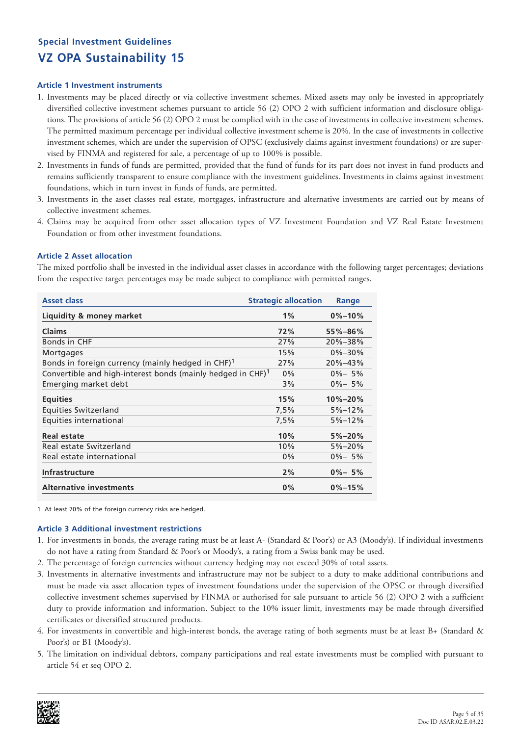### **Article 1 Investment instruments**

- 1. Investments may be placed directly or via collective investment schemes. Mixed assets may only be invested in appropriately diversified collective investment schemes pursuant to article 56 (2) OPO 2 with sufficient information and disclosure obligations. The provisions of article 56 (2) OPO 2 must be complied with in the case of investments in collective investment schemes. The permitted maximum percentage per individual collective investment scheme is 20%. In the case of investments in collective investment schemes, which are under the supervision of OPSC (exclusively claims against investment foundations) or are supervised by FINMA and registered for sale, a percentage of up to 100% is possible.
- 2. Investments in funds of funds are permitted, provided that the fund of funds for its part does not invest in fund products and remains sufficiently transparent to ensure compliance with the investment guidelines. Investments in claims against investment foundations, which in turn invest in funds of funds, are permitted.
- 3. Investments in the asset classes real estate, mortgages, infrastructure and alternative investments are carried out by means of collective investment schemes.
- 4. Claims may be acquired from other asset allocation types of VZ Investment Foundation and VZ Real Estate Investment Foundation or from other investment foundations.

### **Article 2 Asset allocation**

The mixed portfolio shall be invested in the individual asset classes in accordance with the following target percentages; deviations from the respective target percentages may be made subject to compliance with permitted ranges.

| <b>Asset class</b>                                                         | <b>Strategic allocation</b> | Range         |
|----------------------------------------------------------------------------|-----------------------------|---------------|
| Liquidity & money market                                                   | 1%                          | $0\% - 10\%$  |
| <b>Claims</b>                                                              | 72%                         | $55\% - 86\%$ |
| Bonds in CHF                                                               | 27%                         | $20\% - 38\%$ |
| Mortgages                                                                  | 15%                         | $0\% - 30\%$  |
| Bonds in foreign currency (mainly hedged in CHF) $1$                       | 27%                         | $20\% - 43\%$ |
| Convertible and high-interest bonds (mainly hedged in $CHF$ ) <sup>1</sup> | $0\%$                       | $0\% - 5\%$   |
| Emerging market debt                                                       | 3%                          | $0\% - 5\%$   |
| <b>Equities</b>                                                            | 15%                         | $10\% - 20\%$ |
| <b>Equities Switzerland</b>                                                | 7,5%                        | $5% - 12%$    |
| Equities international                                                     | 7,5%                        | $5% - 12%$    |
| Real estate                                                                | 10%                         | $5\% - 20\%$  |
| Real estate Switzerland                                                    | 10%                         | $5\% - 20\%$  |
| Real estate international                                                  | 0%                          | $0\% - 5\%$   |
| <b>Infrastructure</b>                                                      | 2%                          | $0\% - 5\%$   |
| <b>Alternative investments</b>                                             | 0%                          | $0\% - 15\%$  |

1 At least 70% of the foreign currency risks are hedged.

- 1. For investments in bonds, the average rating must be at least A- (Standard & Poor's) or A3 (Moody's). If individual investments do not have a rating from Standard & Poor's or Moody's, a rating from a Swiss bank may be used.
- 2. The percentage of foreign currencies without currency hedging may not exceed 30% of total assets.
- 3. Investments in alternative investments and infrastructure may not be subject to a duty to make additional contributions and must be made via asset allocation types of investment foundations under the supervision of the OPSC or through diversified collective investment schemes supervised by FINMA or authorised for sale pursuant to article 56 (2) OPO 2 with a sufficient duty to provide information and information. Subject to the 10% issuer limit, investments may be made through diversified certificates or diversified structured products.
- 4. For investments in convertible and high-interest bonds, the average rating of both segments must be at least B+ (Standard & Poor's) or B1 (Moody's).
- 5. The limitation on individual debtors, company participations and real estate investments must be complied with pursuant to article 54 et seq OPO 2.

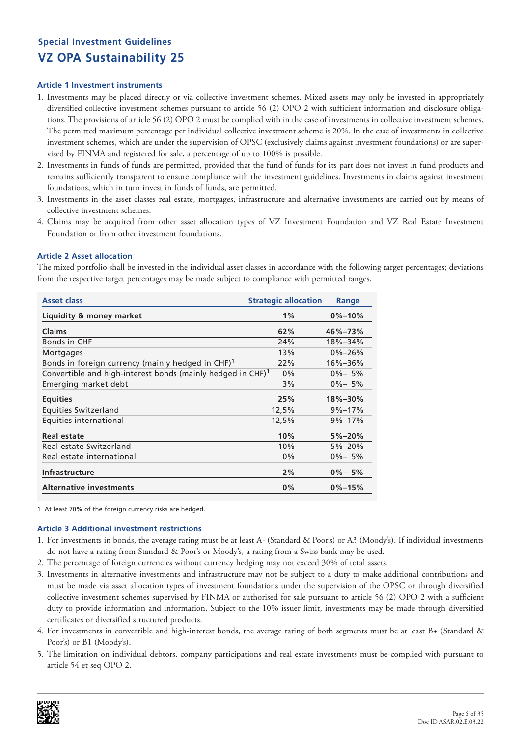### **Article 1 Investment instruments**

- 1. Investments may be placed directly or via collective investment schemes. Mixed assets may only be invested in appropriately diversified collective investment schemes pursuant to article 56 (2) OPO 2 with sufficient information and disclosure obligations. The provisions of article 56 (2) OPO 2 must be complied with in the case of investments in collective investment schemes. The permitted maximum percentage per individual collective investment scheme is 20%. In the case of investments in collective investment schemes, which are under the supervision of OPSC (exclusively claims against investment foundations) or are supervised by FINMA and registered for sale, a percentage of up to 100% is possible.
- 2. Investments in funds of funds are permitted, provided that the fund of funds for its part does not invest in fund products and remains sufficiently transparent to ensure compliance with the investment guidelines. Investments in claims against investment foundations, which in turn invest in funds of funds, are permitted.
- 3. Investments in the asset classes real estate, mortgages, infrastructure and alternative investments are carried out by means of collective investment schemes.
- 4. Claims may be acquired from other asset allocation types of VZ Investment Foundation and VZ Real Estate Investment Foundation or from other investment foundations.

### **Article 2 Asset allocation**

The mixed portfolio shall be invested in the individual asset classes in accordance with the following target percentages; deviations from the respective target percentages may be made subject to compliance with permitted ranges.

| <b>Asset class</b>                                                         | <b>Strategic allocation</b> | Range         |
|----------------------------------------------------------------------------|-----------------------------|---------------|
| Liquidity & money market                                                   | 1%                          | $0\% - 10\%$  |
| <b>Claims</b>                                                              | 62%                         | $46\% - 73\%$ |
| Bonds in CHF                                                               | 24%                         | 18%-34%       |
| Mortgages                                                                  | 13%                         | $0\% - 26\%$  |
| Bonds in foreign currency (mainly hedged in CHF) $1$                       | 22%                         | $16\% - 36\%$ |
| Convertible and high-interest bonds (mainly hedged in $CHF$ ) <sup>1</sup> | $0\%$                       | $0\% - 5\%$   |
| Emerging market debt                                                       | 3%                          | $0\% - 5\%$   |
| <b>Equities</b>                                                            | 25%                         | $18\% - 30\%$ |
| <b>Equities Switzerland</b>                                                | 12,5%                       | $9\% - 17\%$  |
| Equities international                                                     | 12,5%                       | $9\% - 17\%$  |
| Real estate                                                                | 10%                         | $5\% - 20\%$  |
| Real estate Switzerland                                                    | 10%                         | $5\% - 20\%$  |
| Real estate international                                                  | 0%                          | $0\% - 5\%$   |
| <b>Infrastructure</b>                                                      | 2%                          | $0\% - 5\%$   |
| <b>Alternative investments</b>                                             | 0%                          | $0\% - 15\%$  |

1 At least 70% of the foreign currency risks are hedged.

- 1. For investments in bonds, the average rating must be at least A- (Standard & Poor's) or A3 (Moody's). If individual investments do not have a rating from Standard & Poor's or Moody's, a rating from a Swiss bank may be used.
- 2. The percentage of foreign currencies without currency hedging may not exceed 30% of total assets.
- 3. Investments in alternative investments and infrastructure may not be subject to a duty to make additional contributions and must be made via asset allocation types of investment foundations under the supervision of the OPSC or through diversified collective investment schemes supervised by FINMA or authorised for sale pursuant to article 56 (2) OPO 2 with a sufficient duty to provide information and information. Subject to the 10% issuer limit, investments may be made through diversified certificates or diversified structured products.
- 4. For investments in convertible and high-interest bonds, the average rating of both segments must be at least B+ (Standard & Poor's) or B1 (Moody's).
- 5. The limitation on individual debtors, company participations and real estate investments must be complied with pursuant to article 54 et seq OPO 2.

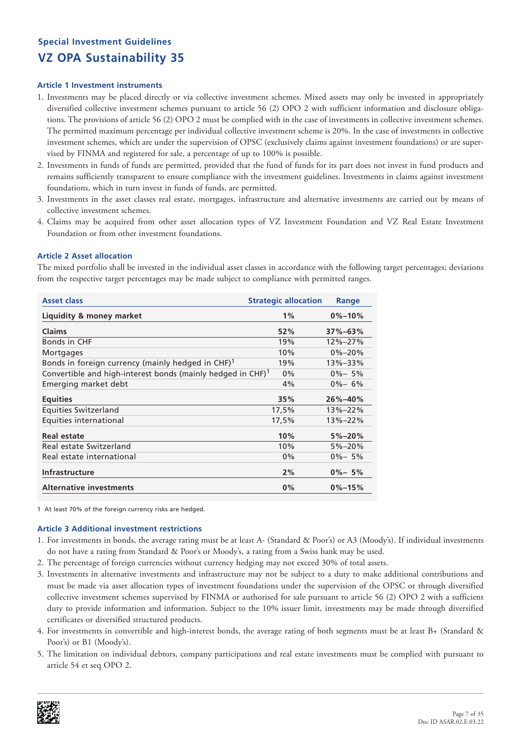### **Article 1 Investment instruments**

- 1. Investments may be placed directly or via collective investment schemes. Mixed assets may only be invested in appropriately diversified collective investment schemes pursuant to article 56 (2) OPO 2 with sufficient information and disclosure obligations. The provisions of article 56 (2) OPO 2 must be complied with in the case of investments in collective investment schemes. The permitted maximum percentage per individual collective investment scheme is 20%. In the case of investments in collective investment schemes, which are under the supervision of OPSC (exclusively claims against investment foundations) or are supervised by FINMA and registered for sale, a percentage of up to 100% is possible.
- 2. Investments in funds of funds are permitted, provided that the fund of funds for its part does not invest in fund products and remains sufficiently transparent to ensure compliance with the investment guidelines. Investments in claims against investment foundations, which in turn invest in funds of funds, are permitted.
- 3. Investments in the asset classes real estate, mortgages, infrastructure and alternative investments are carried out by means of collective investment schemes.
- 4. Claims may be acquired from other asset allocation types of VZ Investment Foundation and VZ Real Estate Investment Foundation or from other investment foundations.

### **Article 2 Asset allocation**

The mixed portfolio shall be invested in the individual asset classes in accordance with the following target percentages; deviations from the respective target percentages may be made subject to compliance with permitted ranges.

| <b>Asset class</b>                                                         | <b>Strategic allocation</b> | Range         |
|----------------------------------------------------------------------------|-----------------------------|---------------|
| Liquidity & money market                                                   | 1%                          | $0\% - 10\%$  |
| <b>Claims</b>                                                              | 52%                         | $37\% - 63\%$ |
| Bonds in CHF                                                               | 19%                         | 12%-27%       |
| Mortgages                                                                  | 10%                         | $0\% - 20\%$  |
| Bonds in foreign currency (mainly hedged in CHF) $1$                       | 19%                         | 13%-33%       |
| Convertible and high-interest bonds (mainly hedged in $CHF$ ) <sup>1</sup> | $0\%$                       | $0\% - 5\%$   |
| Emerging market debt                                                       | 4%                          | $0\% - 6\%$   |
| <b>Equities</b>                                                            | 35%                         | $26\% - 40\%$ |
| <b>Equities Switzerland</b>                                                | 17,5%                       | 13%-22%       |
| Equities international                                                     | 17,5%                       | 13%-22%       |
| Real estate                                                                | 10%                         | $5\% - 20\%$  |
| Real estate Switzerland                                                    | 10%                         | $5\% - 20\%$  |
| Real estate international                                                  | 0%                          | $0\% - 5\%$   |
| <b>Infrastructure</b>                                                      | 2%                          | $0\% - 5\%$   |
| <b>Alternative investments</b>                                             | 0%                          | $0\% - 15\%$  |

1 At least 70% of the foreign currency risks are hedged.

- 1. For investments in bonds, the average rating must be at least A- (Standard & Poor's) or A3 (Moody's). If individual investments do not have a rating from Standard & Poor's or Moody's, a rating from a Swiss bank may be used.
- 2. The percentage of foreign currencies without currency hedging may not exceed 30% of total assets.
- 3. Investments in alternative investments and infrastructure may not be subject to a duty to make additional contributions and must be made via asset allocation types of investment foundations under the supervision of the OPSC or through diversified collective investment schemes supervised by FINMA or authorised for sale pursuant to article 56 (2) OPO 2 with a sufficient duty to provide information and information. Subject to the 10% issuer limit, investments may be made through diversified certificates or diversified structured products.
- 4. For investments in convertible and high-interest bonds, the average rating of both segments must be at least B+ (Standard & Poor's) or B1 (Moody's).
- 5. The limitation on individual debtors, company participations and real estate investments must be complied with pursuant to article 54 et seq OPO 2.

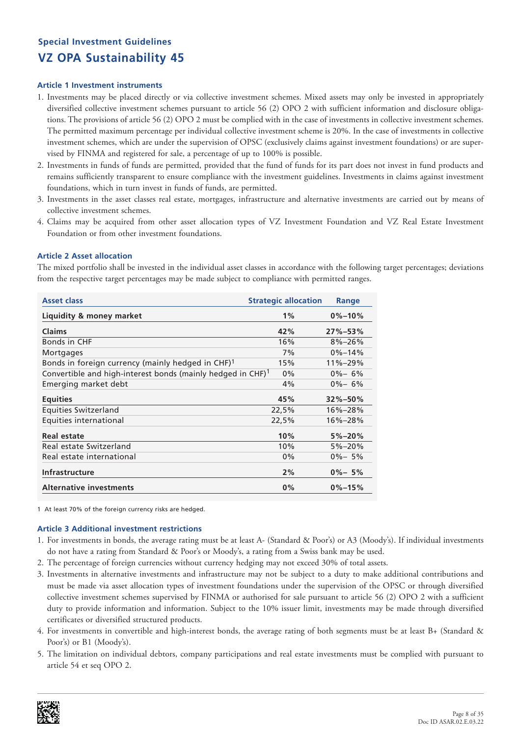### **Article 1 Investment instruments**

- 1. Investments may be placed directly or via collective investment schemes. Mixed assets may only be invested in appropriately diversified collective investment schemes pursuant to article 56 (2) OPO 2 with sufficient information and disclosure obligations. The provisions of article 56 (2) OPO 2 must be complied with in the case of investments in collective investment schemes. The permitted maximum percentage per individual collective investment scheme is 20%. In the case of investments in collective investment schemes, which are under the supervision of OPSC (exclusively claims against investment foundations) or are supervised by FINMA and registered for sale, a percentage of up to 100% is possible.
- 2. Investments in funds of funds are permitted, provided that the fund of funds for its part does not invest in fund products and remains sufficiently transparent to ensure compliance with the investment guidelines. Investments in claims against investment foundations, which in turn invest in funds of funds, are permitted.
- 3. Investments in the asset classes real estate, mortgages, infrastructure and alternative investments are carried out by means of collective investment schemes.
- 4. Claims may be acquired from other asset allocation types of VZ Investment Foundation and VZ Real Estate Investment Foundation or from other investment foundations.

### **Article 2 Asset allocation**

The mixed portfolio shall be invested in the individual asset classes in accordance with the following target percentages; deviations from the respective target percentages may be made subject to compliance with permitted ranges.

| <b>Asset class</b>                                                         | <b>Strategic allocation</b> | <b>Range</b>  |
|----------------------------------------------------------------------------|-----------------------------|---------------|
| <b>Liquidity &amp; money market</b>                                        | 1%                          | $0\% - 10\%$  |
| <b>Claims</b>                                                              | 42%                         | $27\% - 53\%$ |
| Bonds in CHF                                                               | 16%                         | $8\% - 26\%$  |
| Mortgages                                                                  | 7%                          | $0\% - 14\%$  |
| Bonds in foreign currency (mainly hedged in CHF) <sup>1</sup>              | 15%                         | 11%-29%       |
| Convertible and high-interest bonds (mainly hedged in $CHF$ ) <sup>1</sup> | $0\%$                       | $0\% - 6\%$   |
| Emerging market debt                                                       | 4%                          | $0\% - 6\%$   |
| <b>Equities</b>                                                            | 45%                         | $32\% - 50\%$ |
| Equities Switzerland                                                       | 22,5%                       | 16%-28%       |
| Equities international                                                     | 22,5%                       | $16\% - 28\%$ |
| Real estate                                                                | 10%                         | $5\% - 20\%$  |
| Real estate Switzerland                                                    | 10%                         | $5\% - 20\%$  |
| Real estate international                                                  | 0%                          | $0\% - 5\%$   |
| <b>Infrastructure</b>                                                      | 2%                          | $0\% - 5\%$   |
| <b>Alternative investments</b>                                             | $0\%$                       | $0\% - 15\%$  |

1 At least 70% of the foreign currency risks are hedged.

- 1. For investments in bonds, the average rating must be at least A- (Standard & Poor's) or A3 (Moody's). If individual investments do not have a rating from Standard & Poor's or Moody's, a rating from a Swiss bank may be used.
- 2. The percentage of foreign currencies without currency hedging may not exceed 30% of total assets.
- 3. Investments in alternative investments and infrastructure may not be subject to a duty to make additional contributions and must be made via asset allocation types of investment foundations under the supervision of the OPSC or through diversified collective investment schemes supervised by FINMA or authorised for sale pursuant to article 56 (2) OPO 2 with a sufficient duty to provide information and information. Subject to the 10% issuer limit, investments may be made through diversified certificates or diversified structured products.
- 4. For investments in convertible and high-interest bonds, the average rating of both segments must be at least B+ (Standard & Poor's) or B1 (Moody's).
- 5. The limitation on individual debtors, company participations and real estate investments must be complied with pursuant to article 54 et seq OPO 2.

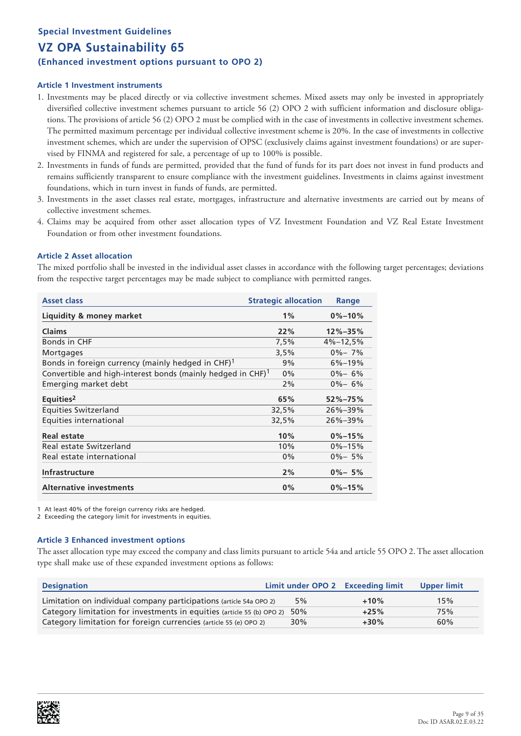# **Special Investment Guidelines VZ OPA Sustainability 65 (Enhanced investment options pursuant to OPO 2)**

### **Article 1 Investment instruments**

- 1. Investments may be placed directly or via collective investment schemes. Mixed assets may only be invested in appropriately diversified collective investment schemes pursuant to article 56 (2) OPO 2 with sufficient information and disclosure obligations. The provisions of article 56 (2) OPO 2 must be complied with in the case of investments in collective investment schemes. The permitted maximum percentage per individual collective investment scheme is 20%. In the case of investments in collective investment schemes, which are under the supervision of OPSC (exclusively claims against investment foundations) or are supervised by FINMA and registered for sale, a percentage of up to 100% is possible.
- 2. Investments in funds of funds are permitted, provided that the fund of funds for its part does not invest in fund products and remains sufficiently transparent to ensure compliance with the investment guidelines. Investments in claims against investment foundations, which in turn invest in funds of funds, are permitted.
- 3. Investments in the asset classes real estate, mortgages, infrastructure and alternative investments are carried out by means of collective investment schemes.
- 4. Claims may be acquired from other asset allocation types of VZ Investment Foundation and VZ Real Estate Investment Foundation or from other investment foundations.

### **Article 2 Asset allocation**

The mixed portfolio shall be invested in the individual asset classes in accordance with the following target percentages; deviations from the respective target percentages may be made subject to compliance with permitted ranges.

| Asset class                                                                | <b>Strategic allocation</b> | Range          |
|----------------------------------------------------------------------------|-----------------------------|----------------|
| Liquidity & money market                                                   | 1%                          | $0\% - 10\%$   |
| <b>Claims</b>                                                              | 22%                         | $12\% - 35\%$  |
| Bonds in CHF                                                               | 7,5%                        | $4\% - 12.5\%$ |
| Mortgages                                                                  | 3,5%                        | $0\% - 7\%$    |
| Bonds in foreign currency (mainly hedged in CHF) $1$                       | 9%                          | $6\% - 19\%$   |
| Convertible and high-interest bonds (mainly hedged in $CHF$ ) <sup>1</sup> | $0\%$                       | $0\% - 6\%$    |
| Emerging market debt                                                       | 2%                          | $0\% - 6\%$    |
| Equities <sup>2</sup>                                                      | 65%                         | $52\% - 75\%$  |
| Equities Switzerland                                                       | 32,5%                       | $26\% - 39\%$  |
| Equities international                                                     | 32,5%                       | $26\% - 39\%$  |
| Real estate                                                                | 10%                         | $0\% - 15\%$   |
| Real estate Switzerland                                                    | 10%                         | $0\% - 15\%$   |
| Real estate international                                                  | $0\%$                       | $0\% - 5\%$    |
| <b>Infrastructure</b>                                                      | 2%                          | $0\% - 5\%$    |
| <b>Alternative investments</b>                                             | $0\%$                       | $0\% - 15\%$   |

At least 40% of the foreign currency risks are hedged.

2 Exceeding the category limit for investments in equities.

### **Article 3 Enhanced investment options**

The asset allocation type may exceed the company and class limits pursuant to article 54a and article 55 OPO 2. The asset allocation type shall make use of these expanded investment options as follows:

| <b>Designation</b>                                                         | Limit under OPO 2 Exceeding limit |        | Upper limit |
|----------------------------------------------------------------------------|-----------------------------------|--------|-------------|
| Limitation on individual company participations (article 54a OPO 2)        | 5%                                | $+10%$ | 15%         |
| Category limitation for investments in equities (article 55 (b) OPO 2) 50% |                                   | $+25%$ | 75%         |
| Category limitation for foreign currencies (article 55 (e) OPO 2)          | 30%                               | $+30%$ | 60%         |

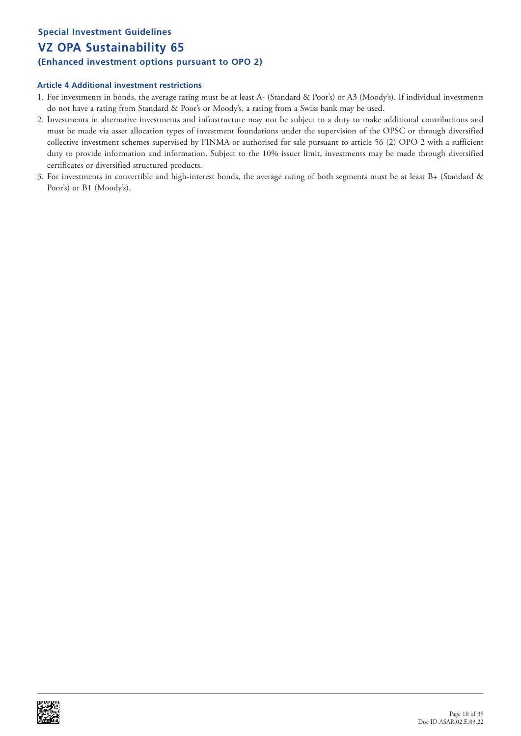# **Special Investment Guidelines VZ OPA Sustainability 65 (Enhanced investment options pursuant to OPO 2)**

- 1. For investments in bonds, the average rating must be at least A- (Standard & Poor's) or A3 (Moody's). If individual investments do not have a rating from Standard & Poor's or Moody's, a rating from a Swiss bank may be used.
- 2. Investments in alternative investments and infrastructure may not be subject to a duty to make additional contributions and must be made via asset allocation types of investment foundations under the supervision of the OPSC or through diversified collective investment schemes supervised by FINMA or authorised for sale pursuant to article 56 (2) OPO 2 with a sufficient duty to provide information and information. Subject to the 10% issuer limit, investments may be made through diversified certificates or diversified structured products.
- 3. For investments in convertible and high-interest bonds, the average rating of both segments must be at least B+ (Standard & Poor's) or B1 (Moody's).

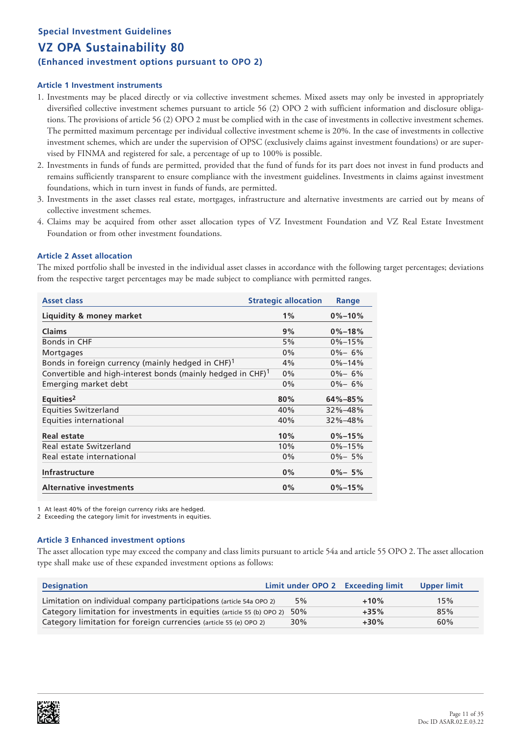# **Special Investment Guidelines VZ OPA Sustainability 80 (Enhanced investment options pursuant to OPO 2)**

### **Article 1 Investment instruments**

- 1. Investments may be placed directly or via collective investment schemes. Mixed assets may only be invested in appropriately diversified collective investment schemes pursuant to article 56 (2) OPO 2 with sufficient information and disclosure obligations. The provisions of article 56 (2) OPO 2 must be complied with in the case of investments in collective investment schemes. The permitted maximum percentage per individual collective investment scheme is 20%. In the case of investments in collective investment schemes, which are under the supervision of OPSC (exclusively claims against investment foundations) or are supervised by FINMA and registered for sale, a percentage of up to 100% is possible.
- 2. Investments in funds of funds are permitted, provided that the fund of funds for its part does not invest in fund products and remains sufficiently transparent to ensure compliance with the investment guidelines. Investments in claims against investment foundations, which in turn invest in funds of funds, are permitted.
- 3. Investments in the asset classes real estate, mortgages, infrastructure and alternative investments are carried out by means of collective investment schemes.
- 4. Claims may be acquired from other asset allocation types of VZ Investment Foundation and VZ Real Estate Investment Foundation or from other investment foundations.

### **Article 2 Asset allocation**

The mixed portfolio shall be invested in the individual asset classes in accordance with the following target percentages; deviations from the respective target percentages may be made subject to compliance with permitted ranges.

| <b>Asset class</b>                                                         | <b>Strategic allocation</b> | Range         |
|----------------------------------------------------------------------------|-----------------------------|---------------|
| Liquidity & money market                                                   | 1%                          | $0\% - 10\%$  |
| <b>Claims</b>                                                              | 9%                          | $0\% - 18\%$  |
| Bonds in CHF                                                               | 5%                          | $0\% - 15\%$  |
| Mortgages                                                                  | $0\%$                       | $0\% - 6\%$   |
| Bonds in foreign currency (mainly hedged in CHF) $1$                       | 4%                          | $0\% - 14\%$  |
| Convertible and high-interest bonds (mainly hedged in $CHF$ ) <sup>1</sup> | 0%                          | $0\% - 6\%$   |
| Emerging market debt                                                       | $0\%$                       | $0\% - 6\%$   |
| Equities <sup>2</sup>                                                      | 80%                         | $64\% - 85\%$ |
| Equities Switzerland                                                       | 40%                         | 32%-48%       |
| Equities international                                                     | 40%                         | $32\% - 48\%$ |
| Real estate                                                                | 10%                         | $0\% - 15\%$  |
| Real estate Switzerland                                                    | 10%                         | $0\% - 15\%$  |
| Real estate international                                                  | $0\%$                       | $0\% - 5\%$   |
| Infrastructure                                                             | $0\%$                       | $0\% - 5\%$   |
| <b>Alternative investments</b>                                             | $0\%$                       | $0\% - 15\%$  |

At least 40% of the foreign currency risks are hedged.

2 Exceeding the category limit for investments in equities.

### **Article 3 Enhanced investment options**

The asset allocation type may exceed the company and class limits pursuant to article 54a and article 55 OPO 2. The asset allocation type shall make use of these expanded investment options as follows:

| <b>Designation</b>                                                         | Limit under OPO 2 Exceeding limit |        | <b>Upper limit</b> |
|----------------------------------------------------------------------------|-----------------------------------|--------|--------------------|
| Limitation on individual company participations (article 54a OPO 2)        | 5%                                | $+10%$ | 15%                |
| Category limitation for investments in equities (article 55 (b) OPO 2) 50% |                                   | $+35%$ | 85%                |
| Category limitation for foreign currencies (article 55 (e) OPO 2)          | $30\%$                            | $+30%$ | 60%                |

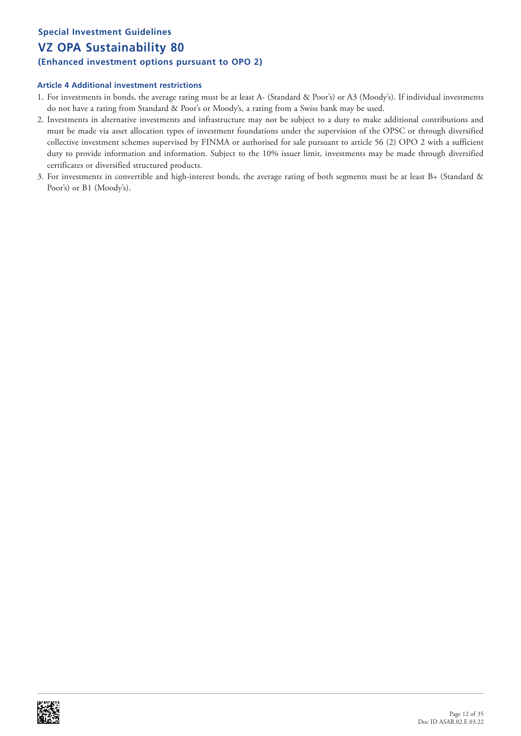# **Special Investment Guidelines VZ OPA Sustainability 80 (Enhanced investment options pursuant to OPO 2)**

- 1. For investments in bonds, the average rating must be at least A- (Standard & Poor's) or A3 (Moody's). If individual investments do not have a rating from Standard & Poor's or Moody's, a rating from a Swiss bank may be used.
- 2. Investments in alternative investments and infrastructure may not be subject to a duty to make additional contributions and must be made via asset allocation types of investment foundations under the supervision of the OPSC or through diversified collective investment schemes supervised by FINMA or authorised for sale pursuant to article 56 (2) OPO 2 with a sufficient duty to provide information and information. Subject to the 10% issuer limit, investments may be made through diversified certificates or diversified structured products.
- 3. For investments in convertible and high-interest bonds, the average rating of both segments must be at least B+ (Standard & Poor's) or B1 (Moody's).

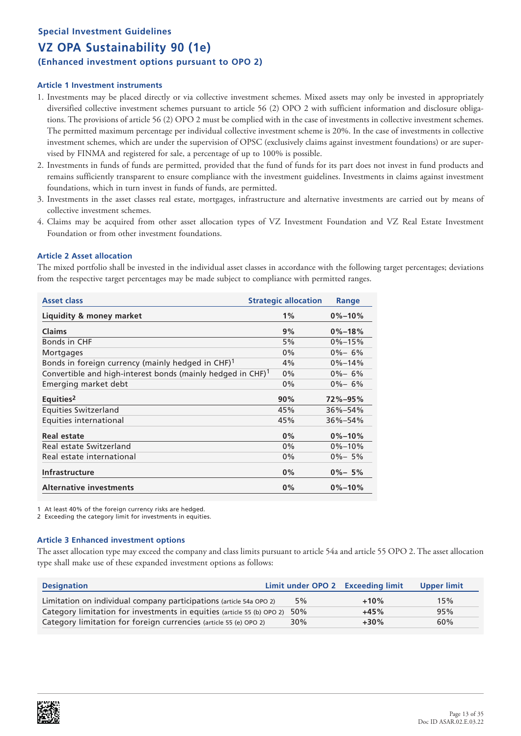# **Special Investment Guidelines VZ OPA Sustainability 90 (1e) (Enhanced investment options pursuant to OPO 2)**

### **Article 1 Investment instruments**

- 1. Investments may be placed directly or via collective investment schemes. Mixed assets may only be invested in appropriately diversified collective investment schemes pursuant to article 56 (2) OPO 2 with sufficient information and disclosure obligations. The provisions of article 56 (2) OPO 2 must be complied with in the case of investments in collective investment schemes. The permitted maximum percentage per individual collective investment scheme is 20%. In the case of investments in collective investment schemes, which are under the supervision of OPSC (exclusively claims against investment foundations) or are supervised by FINMA and registered for sale, a percentage of up to 100% is possible.
- 2. Investments in funds of funds are permitted, provided that the fund of funds for its part does not invest in fund products and remains sufficiently transparent to ensure compliance with the investment guidelines. Investments in claims against investment foundations, which in turn invest in funds of funds, are permitted.
- 3. Investments in the asset classes real estate, mortgages, infrastructure and alternative investments are carried out by means of collective investment schemes.
- 4. Claims may be acquired from other asset allocation types of VZ Investment Foundation and VZ Real Estate Investment Foundation or from other investment foundations.

### **Article 2 Asset allocation**

The mixed portfolio shall be invested in the individual asset classes in accordance with the following target percentages; deviations from the respective target percentages may be made subject to compliance with permitted ranges.

| <b>Asset class</b>                                                         | <b>Strategic allocation</b> | Range         |
|----------------------------------------------------------------------------|-----------------------------|---------------|
| Liquidity & money market                                                   | 1%                          | $0\% - 10\%$  |
| <b>Claims</b>                                                              | 9%                          | $0\% - 18\%$  |
| Bonds in CHF                                                               | 5%                          | $0\% - 15\%$  |
| Mortgages                                                                  | $0\%$                       | $0\% - 6\%$   |
| Bonds in foreign currency (mainly hedged in CHF) $1$                       | 4%                          | $0\% - 14\%$  |
| Convertible and high-interest bonds (mainly hedged in $CHF$ ) <sup>1</sup> | $0\%$                       | $0\% - 6\%$   |
| Emerging market debt                                                       | $0\%$                       | $0\% - 6\%$   |
| Equities <sup>2</sup>                                                      | 90%                         | $72\% - 95\%$ |
| <b>Equities Switzerland</b>                                                | 45%                         | $36\% - 54\%$ |
| Equities international                                                     | 45%                         | $36\% - 54\%$ |
| Real estate                                                                | 0%                          | $0\% - 10\%$  |
| Real estate Switzerland                                                    | 0%                          | $0\% - 10\%$  |
| Real estate international                                                  | 0%                          | $0\% - 5\%$   |
| Infrastructure                                                             | $0\%$                       | $0\% - 5\%$   |
| <b>Alternative investments</b>                                             | 0%                          | $0\% - 10\%$  |

At least 40% of the foreign currency risks are hedged.

2 Exceeding the category limit for investments in equities.

### **Article 3 Enhanced investment options**

The asset allocation type may exceed the company and class limits pursuant to article 54a and article 55 OPO 2. The asset allocation type shall make use of these expanded investment options as follows:

| <b>Designation</b>                                                         | Limit under OPO 2 Exceeding limit |        | Upper limit |
|----------------------------------------------------------------------------|-----------------------------------|--------|-------------|
| Limitation on individual company participations (article 54a OPO 2)        | 5%                                | $+10%$ | 15%         |
| Category limitation for investments in equities (article 55 (b) OPO 2) 50% |                                   | $+45%$ | 95%         |
| Category limitation for foreign currencies (article 55 (e) OPO 2)          | 30%                               | $+30%$ | 60%         |

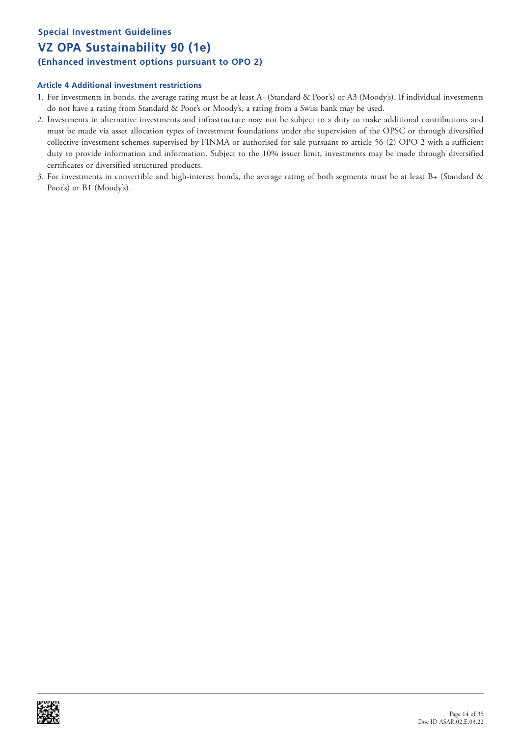# **Special Investment Guidelines VZ OPA Sustainability 90 (1e) (Enhanced investment options pursuant to OPO 2)**

- 1. For investments in bonds, the average rating must be at least A- (Standard & Poor's) or A3 (Moody's). If individual investments do not have a rating from Standard & Poor's or Moody's, a rating from a Swiss bank may be used.
- 2. Investments in alternative investments and infrastructure may not be subject to a duty to make additional contributions and must be made via asset allocation types of investment foundations under the supervision of the OPSC or through diversified collective investment schemes supervised by FINMA or authorised for sale pursuant to article 56 (2) OPO 2 with a sufficient duty to provide information and information. Subject to the 10% issuer limit, investments may be made through diversified certificates or diversified structured products.
- 3. For investments in convertible and high-interest bonds, the average rating of both segments must be at least B+ (Standard & Poor's) or B1 (Moody's).

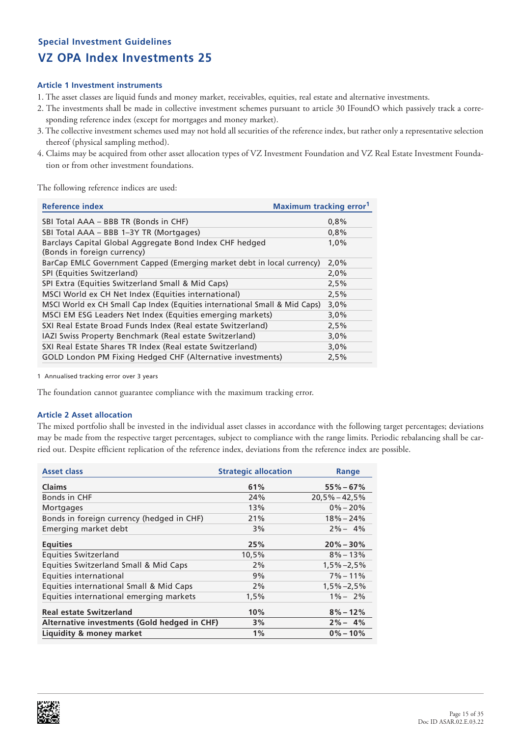### **Article 1 Investment instruments**

- 1. The asset classes are liquid funds and money market, receivables, equities, real estate and alternative investments.
- 2. The investments shall be made in collective investment schemes pursuant to article 30 IFoundO which passively track a corresponding reference index (except for mortgages and money market).
- 3. The collective investment schemes used may not hold all securities of the reference index, but rather only a representative selection thereof (physical sampling method).
- 4. Claims may be acquired from other asset allocation types of VZ Investment Foundation and VZ Real Estate Investment Foundation or from other investment foundations.

The following reference indices are used:

| Reference index                                                                        | <b>Maximum tracking error</b> <sup>1</sup> |
|----------------------------------------------------------------------------------------|--------------------------------------------|
| SBI Total AAA – BBB TR (Bonds in CHF)                                                  | 0.8%                                       |
| SBI Total AAA - BBB 1-3Y TR (Mortgages)                                                | 0,8%                                       |
| Barclays Capital Global Aggregate Bond Index CHF hedged<br>(Bonds in foreign currency) | 1,0%                                       |
| BarCap EMLC Government Capped (Emerging market debt in local currency)                 | 2,0%                                       |
| SPI (Equities Switzerland)                                                             | 2,0%                                       |
| SPI Extra (Equities Switzerland Small & Mid Caps)                                      | 2,5%                                       |
| MSCI World ex CH Net Index (Equities international)                                    | 2,5%                                       |
| MSCI World ex CH Small Cap Index (Equities international Small & Mid Caps)             | 3,0%                                       |
| MSCI EM ESG Leaders Net Index (Equities emerging markets)                              | 3,0%                                       |
| SXI Real Estate Broad Funds Index (Real estate Switzerland)                            | 2,5%                                       |
| IAZI Swiss Property Benchmark (Real estate Switzerland)                                | 3,0%                                       |
| SXI Real Estate Shares TR Index (Real estate Switzerland)                              | 3,0%                                       |
| GOLD London PM Fixing Hedged CHF (Alternative investments)                             | 2,5%                                       |

1 Annualised tracking error over 3 years

The foundation cannot guarantee compliance with the maximum tracking error.

### **Article 2 Asset allocation**

The mixed portfolio shall be invested in the individual asset classes in accordance with the following target percentages; deviations may be made from the respective target percentages, subject to compliance with the range limits. Periodic rebalancing shall be carried out. Despite efficient replication of the reference index, deviations from the reference index are possible.

| <b>Asset class</b>                           | <b>Strategic allocation</b> | Range             |
|----------------------------------------------|-----------------------------|-------------------|
| <b>Claims</b>                                | 61%                         | $55\% - 67\%$     |
| Bonds in CHF                                 | 24%                         | $20.5\% - 42.5\%$ |
| Mortgages                                    | 13%                         | $0\% - 20\%$      |
| Bonds in foreign currency (hedged in CHF)    | 21%                         | $18\% - 24\%$     |
| Emerging market debt                         | 3%                          | $2\% - 4\%$       |
| <b>Equities</b>                              | 25%                         | $20\% - 30\%$     |
| <b>Equities Switzerland</b>                  | 10,5%                       | $8\% - 13\%$      |
| Equities Switzerland Small & Mid Caps        | 2%                          | $1,5\% -2,5\%$    |
| Equities international                       | 9%                          | $7\% - 11\%$      |
| Equities international Small & Mid Caps      | 2%                          | $1,5\% -2,5\%$    |
| Equities international emerging markets      | 1,5%                        | $1\% - 2\%$       |
| <b>Real estate Switzerland</b>               | 10%                         | $8\% - 12\%$      |
| Alternative investments (Gold hedged in CHF) | 3%                          | $2\% - 4\%$       |
| Liquidity & money market                     | $1\%$                       | $0\% - 10\%$      |

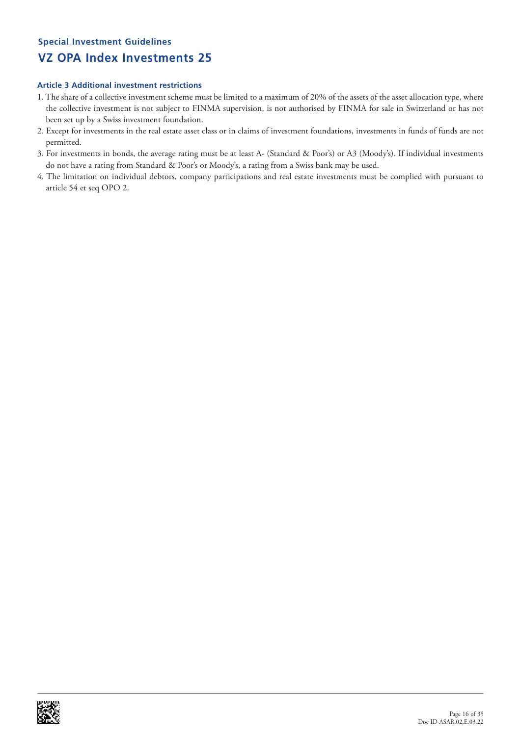- 1. The share of a collective investment scheme must be limited to a maximum of 20% of the assets of the asset allocation type, where the collective investment is not subject to FINMA supervision, is not authorised by FINMA for sale in Switzerland or has not been set up by a Swiss investment foundation.
- 2. Except for investments in the real estate asset class or in claims of investment foundations, investments in funds of funds are not permitted.
- 3. For investments in bonds, the average rating must be at least A- (Standard & Poor's) or A3 (Moody's). If individual investments do not have a rating from Standard & Poor's or Moody's, a rating from a Swiss bank may be used.
- 4. The limitation on individual debtors, company participations and real estate investments must be complied with pursuant to article 54 et seq OPO 2.

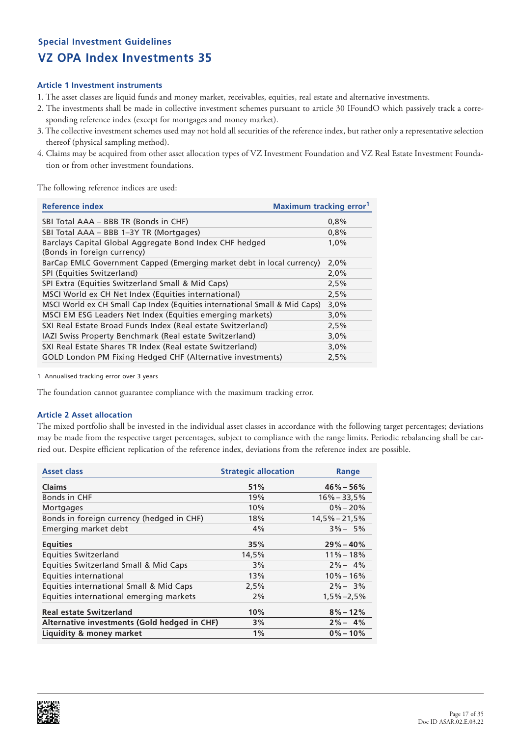### **Article 1 Investment instruments**

- 1. The asset classes are liquid funds and money market, receivables, equities, real estate and alternative investments.
- 2. The investments shall be made in collective investment schemes pursuant to article 30 IFoundO which passively track a corresponding reference index (except for mortgages and money market).
- 3. The collective investment schemes used may not hold all securities of the reference index, but rather only a representative selection thereof (physical sampling method).
- 4. Claims may be acquired from other asset allocation types of VZ Investment Foundation and VZ Real Estate Investment Foundation or from other investment foundations.

The following reference indices are used:

| Reference index                                                                        | <b>Maximum tracking error</b> <sup>1</sup> |
|----------------------------------------------------------------------------------------|--------------------------------------------|
| SBI Total AAA - BBB TR (Bonds in CHF)                                                  | 0,8%                                       |
| SBI Total AAA - BBB 1-3Y TR (Mortgages)                                                | 0,8%                                       |
| Barclays Capital Global Aggregate Bond Index CHF hedged<br>(Bonds in foreign currency) | 1,0%                                       |
| BarCap EMLC Government Capped (Emerging market debt in local currency)                 | 2,0%                                       |
| SPI (Equities Switzerland)                                                             | 2,0%                                       |
| SPI Extra (Equities Switzerland Small & Mid Caps)                                      | 2,5%                                       |
| MSCI World ex CH Net Index (Equities international)                                    | 2,5%                                       |
| MSCI World ex CH Small Cap Index (Equities international Small & Mid Caps)             | 3,0%                                       |
| MSCI EM ESG Leaders Net Index (Equities emerging markets)                              | 3,0%                                       |
| SXI Real Estate Broad Funds Index (Real estate Switzerland)                            | 2,5%                                       |
| IAZI Swiss Property Benchmark (Real estate Switzerland)                                | 3,0%                                       |
| SXI Real Estate Shares TR Index (Real estate Switzerland)                              | 3,0%                                       |
| GOLD London PM Fixing Hedged CHF (Alternative investments)                             | 2,5%                                       |

1 Annualised tracking error over 3 years

The foundation cannot guarantee compliance with the maximum tracking error.

### **Article 2 Asset allocation**

The mixed portfolio shall be invested in the individual asset classes in accordance with the following target percentages; deviations may be made from the respective target percentages, subject to compliance with the range limits. Periodic rebalancing shall be carried out. Despite efficient replication of the reference index, deviations from the reference index are possible.

| <b>Asset class</b>                           | <b>Strategic allocation</b> | Range             |
|----------------------------------------------|-----------------------------|-------------------|
| <b>Claims</b>                                | 51%                         | $46\% - 56\%$     |
| Bonds in CHF                                 | 19%                         | $16\% - 33.5\%$   |
| <b>Mortgages</b>                             | 10%                         | $0\% - 20\%$      |
| Bonds in foreign currency (hedged in CHF)    | 18%                         | $14,5\% - 21,5\%$ |
| Emerging market debt                         | 4%                          | $3\% - 5\%$       |
| <b>Equities</b>                              | 35%                         | $29\% - 40\%$     |
| <b>Equities Switzerland</b>                  | 14,5%                       | $11\% - 18\%$     |
| Equities Switzerland Small & Mid Caps        | 3%                          | $2\% - 4\%$       |
| Equities international                       | 13%                         | $10\% - 16\%$     |
| Equities international Small & Mid Caps      | 2,5%                        | $2\% - 3\%$       |
| Equities international emerging markets      | 2%                          | $1,5\% -2,5\%$    |
| <b>Real estate Switzerland</b>               | 10%                         | $8\% - 12\%$      |
| Alternative investments (Gold hedged in CHF) | 3%                          | $2\% - 4\%$       |
| Liquidity & money market                     | $1\%$                       | $0\% - 10\%$      |

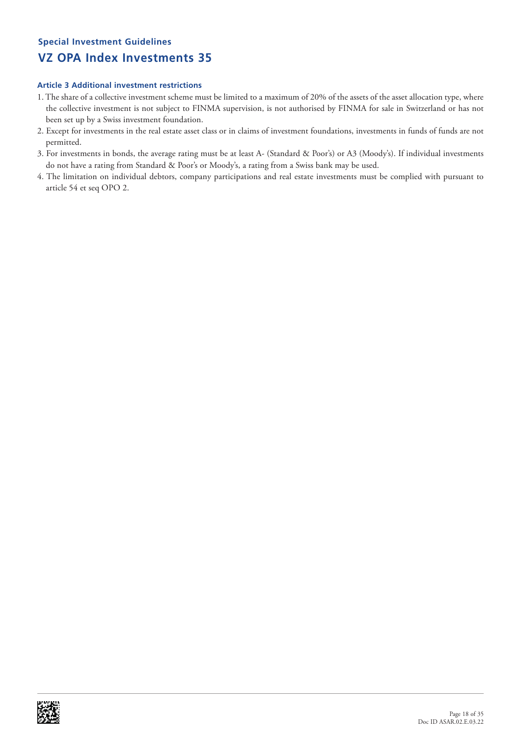- 1. The share of a collective investment scheme must be limited to a maximum of 20% of the assets of the asset allocation type, where the collective investment is not subject to FINMA supervision, is not authorised by FINMA for sale in Switzerland or has not been set up by a Swiss investment foundation.
- 2. Except for investments in the real estate asset class or in claims of investment foundations, investments in funds of funds are not permitted.
- 3. For investments in bonds, the average rating must be at least A- (Standard & Poor's) or A3 (Moody's). If individual investments do not have a rating from Standard & Poor's or Moody's, a rating from a Swiss bank may be used.
- 4. The limitation on individual debtors, company participations and real estate investments must be complied with pursuant to article 54 et seq OPO 2.

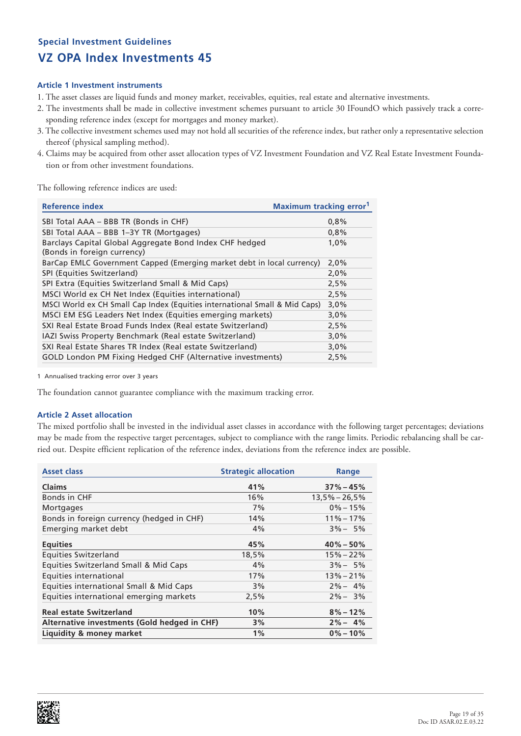### **Article 1 Investment instruments**

- 1. The asset classes are liquid funds and money market, receivables, equities, real estate and alternative investments.
- 2. The investments shall be made in collective investment schemes pursuant to article 30 IFoundO which passively track a corresponding reference index (except for mortgages and money market).
- 3. The collective investment schemes used may not hold all securities of the reference index, but rather only a representative selection thereof (physical sampling method).
- 4. Claims may be acquired from other asset allocation types of VZ Investment Foundation and VZ Real Estate Investment Foundation or from other investment foundations.

The following reference indices are used:

| Reference index                                                                        | <b>Maximum tracking error</b> <sup>1</sup> |
|----------------------------------------------------------------------------------------|--------------------------------------------|
| SBI Total AAA - BBB TR (Bonds in CHF)                                                  | 0,8%                                       |
| SBI Total AAA - BBB 1-3Y TR (Mortgages)                                                | 0,8%                                       |
| Barclays Capital Global Aggregate Bond Index CHF hedged<br>(Bonds in foreign currency) | 1,0%                                       |
| BarCap EMLC Government Capped (Emerging market debt in local currency)                 | 2,0%                                       |
| SPI (Equities Switzerland)                                                             | 2,0%                                       |
| SPI Extra (Equities Switzerland Small & Mid Caps)                                      | 2,5%                                       |
| MSCI World ex CH Net Index (Equities international)                                    | 2,5%                                       |
| MSCI World ex CH Small Cap Index (Equities international Small & Mid Caps)             | 3,0%                                       |
| MSCI EM ESG Leaders Net Index (Equities emerging markets)                              | 3,0%                                       |
| SXI Real Estate Broad Funds Index (Real estate Switzerland)                            | 2,5%                                       |
| IAZI Swiss Property Benchmark (Real estate Switzerland)                                | 3,0%                                       |
| SXI Real Estate Shares TR Index (Real estate Switzerland)                              | 3,0%                                       |
| GOLD London PM Fixing Hedged CHF (Alternative investments)                             | 2,5%                                       |

1 Annualised tracking error over 3 years

The foundation cannot guarantee compliance with the maximum tracking error.

### **Article 2 Asset allocation**

The mixed portfolio shall be invested in the individual asset classes in accordance with the following target percentages; deviations may be made from the respective target percentages, subject to compliance with the range limits. Periodic rebalancing shall be carried out. Despite efficient replication of the reference index, deviations from the reference index are possible.

| <b>Asset class</b>                           | <b>Strategic allocation</b> | Range           |
|----------------------------------------------|-----------------------------|-----------------|
| <b>Claims</b>                                | 41%                         | $37\% - 45\%$   |
| Bonds in CHF                                 | 16%                         | $13,5% - 26,5%$ |
| <b>Mortgages</b>                             | 7%                          | $0\% - 15\%$    |
| Bonds in foreign currency (hedged in CHF)    | 14%                         | $11\% - 17\%$   |
| Emerging market debt                         | 4%                          | $3\% - 5\%$     |
| <b>Equities</b>                              | 45%                         | $40\% - 50\%$   |
| <b>Equities Switzerland</b>                  | 18,5%                       | $15\% - 22\%$   |
| Equities Switzerland Small & Mid Caps        | 4%                          | $3\% - 5\%$     |
| Equities international                       | 17%                         | $13\% - 21\%$   |
| Equities international Small & Mid Caps      | 3%                          | $2\% - 4\%$     |
| Equities international emerging markets      | 2,5%                        | $2\% - 3\%$     |
| <b>Real estate Switzerland</b>               | 10%                         | $8\% - 12\%$    |
| Alternative investments (Gold hedged in CHF) | 3%                          | $2\% - 4\%$     |
| Liquidity & money market                     | 1%                          | $0\% - 10\%$    |

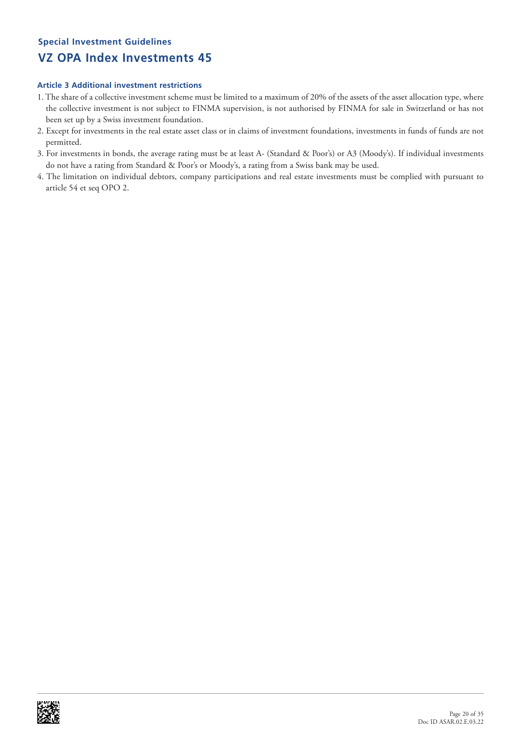- 1. The share of a collective investment scheme must be limited to a maximum of 20% of the assets of the asset allocation type, where the collective investment is not subject to FINMA supervision, is not authorised by FINMA for sale in Switzerland or has not been set up by a Swiss investment foundation.
- 2. Except for investments in the real estate asset class or in claims of investment foundations, investments in funds of funds are not permitted.
- 3. For investments in bonds, the average rating must be at least A- (Standard & Poor's) or A3 (Moody's). If individual investments do not have a rating from Standard & Poor's or Moody's, a rating from a Swiss bank may be used.
- 4. The limitation on individual debtors, company participations and real estate investments must be complied with pursuant to article 54 et seq OPO 2.

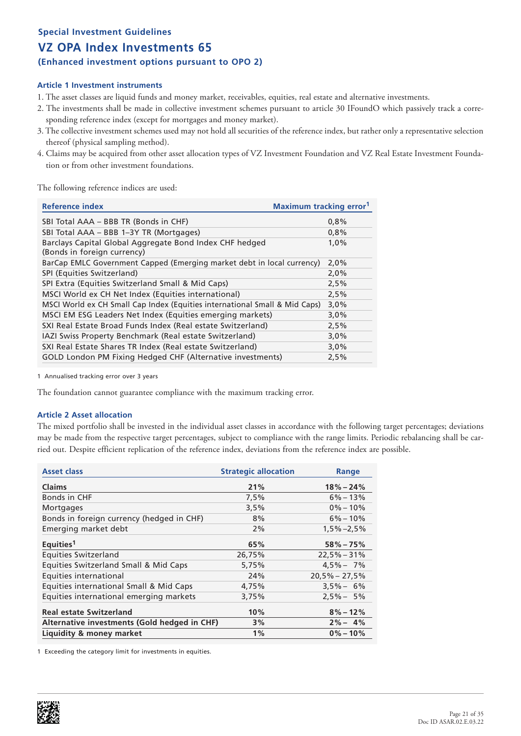**(Enhanced investment options pursuant to OPO 2)**

### **Article 1 Investment instruments**

- 1. The asset classes are liquid funds and money market, receivables, equities, real estate and alternative investments.
- 2. The investments shall be made in collective investment schemes pursuant to article 30 IFoundO which passively track a corresponding reference index (except for mortgages and money market).
- 3. The collective investment schemes used may not hold all securities of the reference index, but rather only a representative selection thereof (physical sampling method).
- 4. Claims may be acquired from other asset allocation types of VZ Investment Foundation and VZ Real Estate Investment Foundation or from other investment foundations.

The following reference indices are used:

| Reference index                                                                        | <b>Maximum tracking error</b> <sup>1</sup> |
|----------------------------------------------------------------------------------------|--------------------------------------------|
| SBI Total AAA – BBB TR (Bonds in CHF)                                                  | 0.8%                                       |
| SBI Total AAA - BBB 1-3Y TR (Mortgages)                                                | 0,8%                                       |
| Barclays Capital Global Aggregate Bond Index CHF hedged<br>(Bonds in foreign currency) | 1,0%                                       |
| BarCap EMLC Government Capped (Emerging market debt in local currency)                 | 2,0%                                       |
| SPI (Equities Switzerland)                                                             | 2,0%                                       |
| SPI Extra (Equities Switzerland Small & Mid Caps)                                      | 2,5%                                       |
| MSCI World ex CH Net Index (Equities international)                                    | 2,5%                                       |
| MSCI World ex CH Small Cap Index (Equities international Small & Mid Caps)             | 3,0%                                       |
| MSCI EM ESG Leaders Net Index (Equities emerging markets)                              | 3,0%                                       |
| SXI Real Estate Broad Funds Index (Real estate Switzerland)                            | 2,5%                                       |
| IAZI Swiss Property Benchmark (Real estate Switzerland)                                | 3,0%                                       |
| SXI Real Estate Shares TR Index (Real estate Switzerland)                              | 3,0%                                       |
| GOLD London PM Fixing Hedged CHF (Alternative investments)                             | 2,5%                                       |

1 Annualised tracking error over 3 years

The foundation cannot guarantee compliance with the maximum tracking error.

### **Article 2 Asset allocation**

The mixed portfolio shall be invested in the individual asset classes in accordance with the following target percentages; deviations may be made from the respective target percentages, subject to compliance with the range limits. Periodic rebalancing shall be carried out. Despite efficient replication of the reference index, deviations from the reference index are possible.

| <b>Asset class</b>                           | <b>Strategic allocation</b> | Range           |
|----------------------------------------------|-----------------------------|-----------------|
| <b>Claims</b>                                | 21%                         | $18\% - 24\%$   |
| Bonds in CHF                                 | 7,5%                        | $6\% - 13\%$    |
| <b>Mortgages</b>                             | 3,5%                        | $0\% - 10\%$    |
| Bonds in foreign currency (hedged in CHF)    | 8%                          | $6\% - 10\%$    |
| Emerging market debt                         | 2%                          | $1,5\% -2,5\%$  |
| Equities <sup>1</sup>                        | 65%                         | $58\% - 75\%$   |
| <b>Equities Switzerland</b>                  | 26,75%                      | $22,5% - 31%$   |
| Equities Switzerland Small & Mid Caps        | 5,75%                       | $4.5\% - 7\%$   |
| Equities international                       | 24%                         | $20,5% - 27,5%$ |
| Equities international Small & Mid Caps      | 4,75%                       | $3.5\% - 6\%$   |
| Equities international emerging markets      | 3,75%                       | $2.5\% - 5\%$   |
| <b>Real estate Switzerland</b>               | 10%                         | $8\% - 12\%$    |
| Alternative investments (Gold hedged in CHF) | 3%                          | $2\% - 4\%$     |
| Liquidity & money market                     | $1\%$                       | $0\% - 10\%$    |

1 Exceeding the category limit for investments in equities.

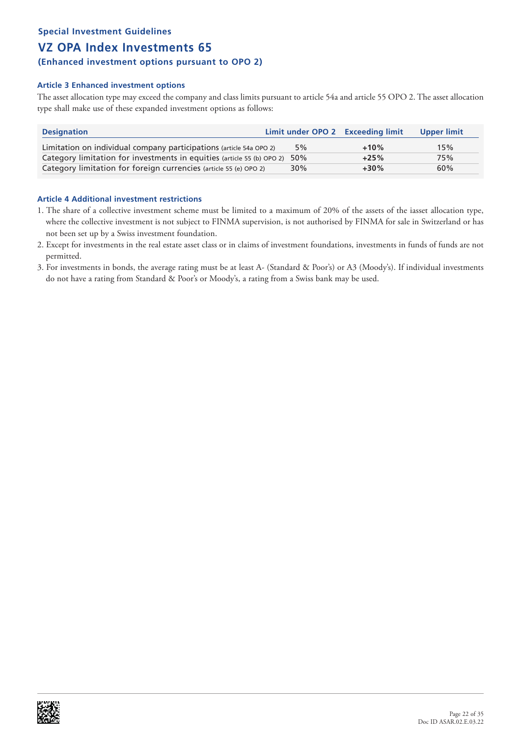### **(Enhanced investment options pursuant to OPO 2)**

### **Article 3 Enhanced investment options**

The asset allocation type may exceed the company and class limits pursuant to article 54a and article 55 OPO 2. The asset allocation type shall make use of these expanded investment options as follows:

| <b>Designation</b>                                                         | Limit under OPO 2 Exceeding limit |        | Upper limit |
|----------------------------------------------------------------------------|-----------------------------------|--------|-------------|
| Limitation on individual company participations (article 54a OPO 2)        | 5%                                | $+10%$ | 15%         |
| Category limitation for investments in equities (article 55 (b) OPO 2) 50% |                                   | $+25%$ | 75%         |
| Category limitation for foreign currencies (article 55 (e) OPO 2)          | 30%                               | $+30%$ | 60%         |

- 1. The share of a collective investment scheme must be limited to a maximum of 20% of the assets of the iasset allocation type, where the collective investment is not subject to FINMA supervision, is not authorised by FINMA for sale in Switzerland or has not been set up by a Swiss investment foundation.
- 2. Except for investments in the real estate asset class or in claims of investment foundations, investments in funds of funds are not permitted.
- 3. For investments in bonds, the average rating must be at least A- (Standard & Poor's) or A3 (Moody's). If individual investments do not have a rating from Standard & Poor's or Moody's, a rating from a Swiss bank may be used.

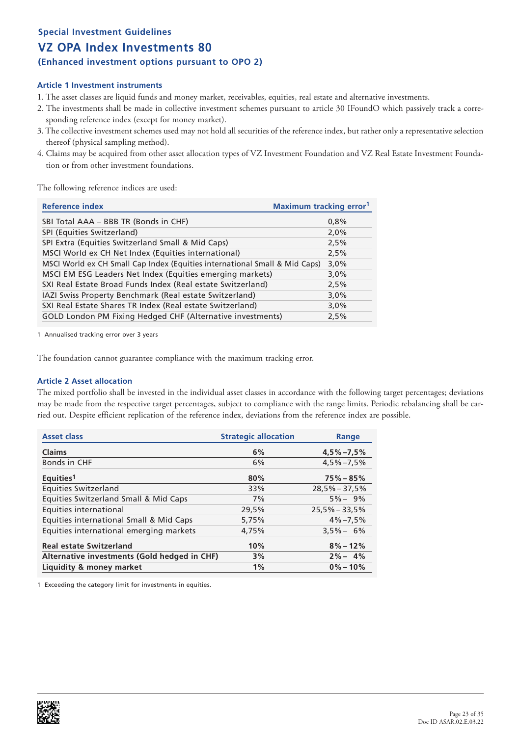### **(Enhanced investment options pursuant to OPO 2)**

### **Article 1 Investment instruments**

- 1. The asset classes are liquid funds and money market, receivables, equities, real estate and alternative investments.
- 2. The investments shall be made in collective investment schemes pursuant to article 30 IFoundO which passively track a corresponding reference index (except for money market).
- 3. The collective investment schemes used may not hold all securities of the reference index, but rather only a representative selection thereof (physical sampling method).
- 4. Claims may be acquired from other asset allocation types of VZ Investment Foundation and VZ Real Estate Investment Foundation or from other investment foundations.

The following reference indices are used:

| <b>Reference index</b>                                                     | <b>Maximum tracking error</b> <sup>1</sup> |
|----------------------------------------------------------------------------|--------------------------------------------|
| SBI Total AAA - BBB TR (Bonds in CHF)                                      | 0,8%                                       |
| SPI (Equities Switzerland)                                                 | 2,0%                                       |
| SPI Extra (Equities Switzerland Small & Mid Caps)                          | 2,5%                                       |
| MSCI World ex CH Net Index (Equities international)                        | 2,5%                                       |
| MSCI World ex CH Small Cap Index (Equities international Small & Mid Caps) | 3,0%                                       |
| MSCI EM ESG Leaders Net Index (Equities emerging markets)                  | 3,0%                                       |
| SXI Real Estate Broad Funds Index (Real estate Switzerland)                | 2,5%                                       |
| IAZI Swiss Property Benchmark (Real estate Switzerland)                    | 3,0%                                       |
| SXI Real Estate Shares TR Index (Real estate Switzerland)                  | 3,0%                                       |
| GOLD London PM Fixing Hedged CHF (Alternative investments)                 | 2,5%                                       |

1 Annualised tracking error over 3 years

The foundation cannot guarantee compliance with the maximum tracking error.

### **Article 2 Asset allocation**

The mixed portfolio shall be invested in the individual asset classes in accordance with the following target percentages; deviations may be made from the respective target percentages, subject to compliance with the range limits. Periodic rebalancing shall be carried out. Despite efficient replication of the reference index, deviations from the reference index are possible.

| <b>Asset class</b>                           | <b>Strategic allocation</b> | Range           |
|----------------------------------------------|-----------------------------|-----------------|
| <b>Claims</b>                                | 6%                          | $4,5\% -7,5\%$  |
| Bonds in CHF                                 | 6%                          | $4.5\% - 7.5\%$ |
| Equities <sup>1</sup>                        | 80%                         | $75\% - 85\%$   |
| <b>Equities Switzerland</b>                  | 33%                         | $28,5% - 37,5%$ |
| Equities Switzerland Small & Mid Caps        | 7%                          | $5\% - 9\%$     |
| Equities international                       | 29,5%                       | $25,5% - 33,5%$ |
| Equities international Small & Mid Caps      | 5,75%                       | $4\% - 7.5\%$   |
| Equities international emerging markets      | 4,75%                       | $3.5\% - 6\%$   |
| <b>Real estate Switzerland</b>               | 10%                         | $8\% - 12\%$    |
| Alternative investments (Gold hedged in CHF) | 3%                          | $2\% - 4\%$     |
| Liquidity & money market                     | $1\%$                       | $0\% - 10\%$    |

1 Exceeding the category limit for investments in equities.

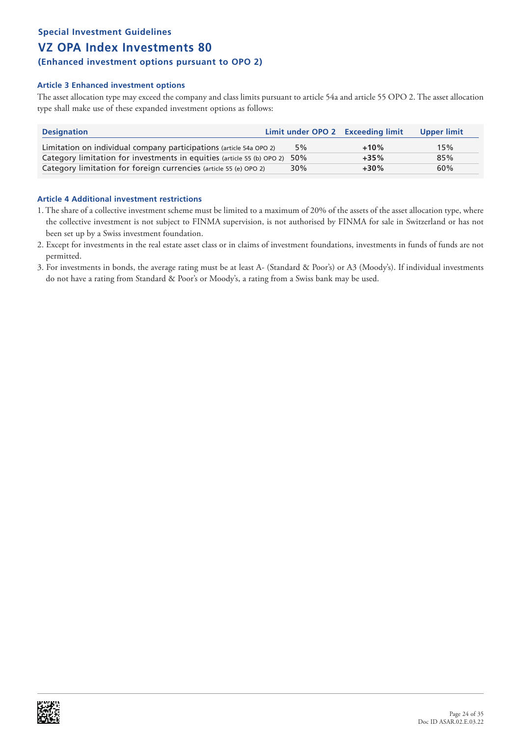### **(Enhanced investment options pursuant to OPO 2)**

### **Article 3 Enhanced investment options**

The asset allocation type may exceed the company and class limits pursuant to article 54a and article 55 OPO 2. The asset allocation type shall make use of these expanded investment options as follows:

| <b>Designation</b>                                                         | Limit under OPO 2 Exceeding limit |        | Upper limit |
|----------------------------------------------------------------------------|-----------------------------------|--------|-------------|
| Limitation on individual company participations (article 54a OPO 2)        | 5%                                | $+10%$ | 15%         |
| Category limitation for investments in equities (article 55 (b) OPO 2) 50% |                                   | $+35%$ | 85%         |
| Category limitation for foreign currencies (article 55 (e) OPO 2)          | 30%                               | $+30%$ | 60%         |

- 1. The share of a collective investment scheme must be limited to a maximum of 20% of the assets of the asset allocation type, where the collective investment is not subject to FINMA supervision, is not authorised by FINMA for sale in Switzerland or has not been set up by a Swiss investment foundation.
- 2. Except for investments in the real estate asset class or in claims of investment foundations, investments in funds of funds are not permitted.
- 3. For investments in bonds, the average rating must be at least A- (Standard & Poor's) or A3 (Moody's). If individual investments do not have a rating from Standard & Poor's or Moody's, a rating from a Swiss bank may be used.

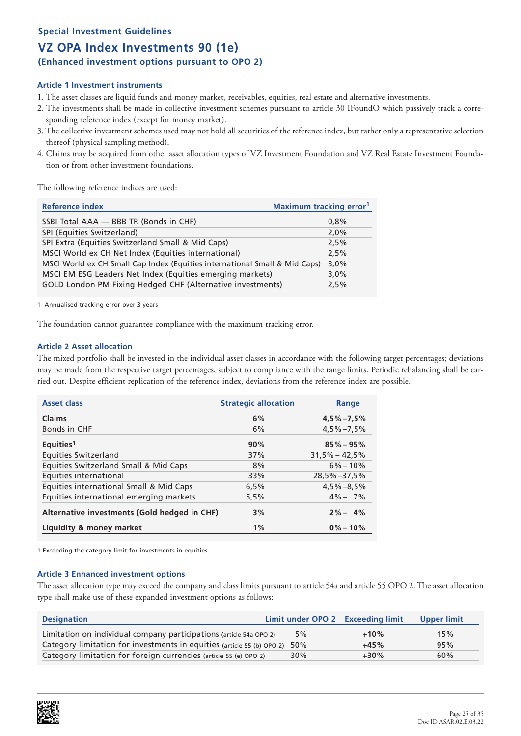### **Special Investment Guidelines**

# **VZ OPA Index Investments 90 (1e)**

**(Enhanced investment options pursuant to OPO 2)**

### **Article 1 Investment instruments**

- 1. The asset classes are liquid funds and money market, receivables, equities, real estate and alternative investments.
- 2. The investments shall be made in collective investment schemes pursuant to article 30 IFoundO which passively track a corresponding reference index (except for money market).
- 3. The collective investment schemes used may not hold all securities of the reference index, but rather only a representative selection thereof (physical sampling method).
- 4. Claims may be acquired from other asset allocation types of VZ Investment Foundation and VZ Real Estate Investment Foundation or from other investment foundations.

The following reference indices are used:

| <b>Reference index</b>                                                     | <b>Maximum tracking error</b> <sup>1</sup> |
|----------------------------------------------------------------------------|--------------------------------------------|
| SSBI Total AAA - BBB TR (Bonds in CHF)                                     | 0,8%                                       |
| SPI (Equities Switzerland)                                                 | 2,0%                                       |
| SPI Extra (Equities Switzerland Small & Mid Caps)                          | 2,5%                                       |
| MSCI World ex CH Net Index (Equities international)                        | 2,5%                                       |
| MSCI World ex CH Small Cap Index (Equities international Small & Mid Caps) | 3,0%                                       |
| MSCI EM ESG Leaders Net Index (Equities emerging markets)                  | 3,0%                                       |
| GOLD London PM Fixing Hedged CHF (Alternative investments)                 | 2,5%                                       |

1 Annualised tracking error over 3 years

The foundation cannot guarantee compliance with the maximum tracking error.

### **Article 2 Asset allocation**

The mixed portfolio shall be invested in the individual asset classes in accordance with the following target percentages; deviations may be made from the respective target percentages, subject to compliance with the range limits. Periodic rebalancing shall be carried out. Despite efficient replication of the reference index, deviations from the reference index are possible.

| <b>Asset class</b>                           | <b>Strategic allocation</b> | Range             |
|----------------------------------------------|-----------------------------|-------------------|
| <b>Claims</b>                                | 6%                          | $4,5\% -7,5\%$    |
| Bonds in CHF                                 | 6%                          | $4.5\% - 7.5\%$   |
| Equities <sup>1</sup>                        | 90%                         | $85\% - 95\%$     |
| <b>Equities Switzerland</b>                  | 37%                         | $31.5\% - 42.5\%$ |
| Equities Switzerland Small & Mid Caps        | 8%                          | $6\% - 10\%$      |
| Equities international                       | 33%                         | $28,5\% - 37,5\%$ |
| Equities international Small & Mid Caps      | 6,5%                        | $4,5\% - 8,5\%$   |
| Equities international emerging markets      | 5,5%                        | $4\% - 7\%$       |
| Alternative investments (Gold hedged in CHF) | 3%                          | $2\% - 4\%$       |
| Liquidity & money market                     | 1%                          | $0\% - 10\%$      |

1 Exceeding the category limit for investments in equities.

### **Article 3 Enhanced investment options**

The asset allocation type may exceed the company and class limits pursuant to article 54a and article 55 OPO 2. The asset allocation type shall make use of these expanded investment options as follows:

| <b>Designation</b>                                                         | Limit under OPO 2 Exceeding limit |        | Upper limit |
|----------------------------------------------------------------------------|-----------------------------------|--------|-------------|
| Limitation on individual company participations (article 54a OPO 2)        | 5%                                | $+10%$ | 15%         |
| Category limitation for investments in equities (article 55 (b) OPO 2) 50% |                                   | $+45%$ | 95%         |
| Category limitation for foreign currencies (article 55 (e) OPO 2)          | 30%                               | $+30%$ | 60%         |

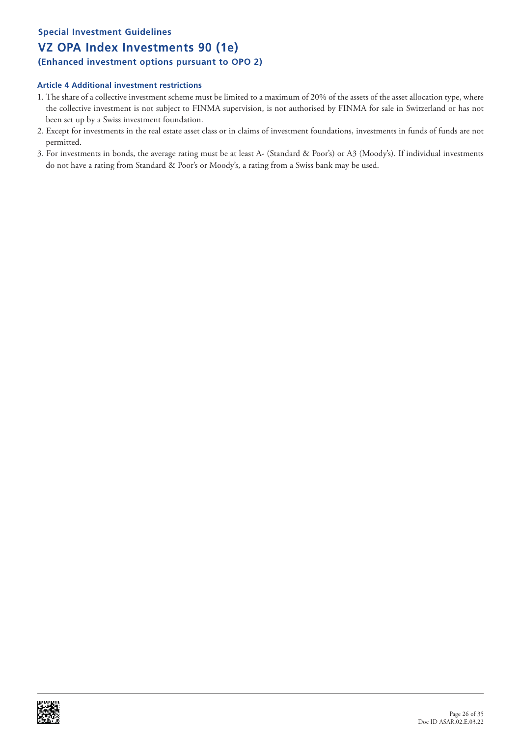# **Special Investment Guidelines**

# **VZ OPA Index Investments 90 (1e)**

### **(Enhanced investment options pursuant to OPO 2)**

- 1. The share of a collective investment scheme must be limited to a maximum of 20% of the assets of the asset allocation type, where the collective investment is not subject to FINMA supervision, is not authorised by FINMA for sale in Switzerland or has not been set up by a Swiss investment foundation.
- 2. Except for investments in the real estate asset class or in claims of investment foundations, investments in funds of funds are not permitted.
- 3. For investments in bonds, the average rating must be at least A- (Standard & Poor's) or A3 (Moody's). If individual investments do not have a rating from Standard & Poor's or Moody's, a rating from a Swiss bank may be used.

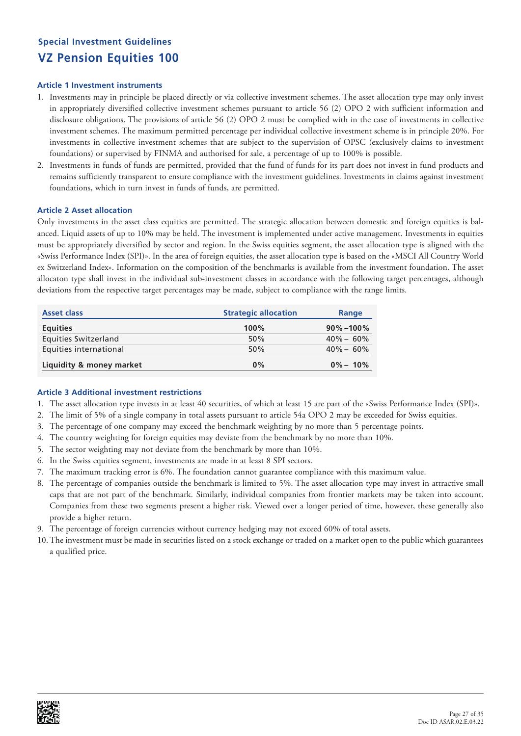# **Special Investment Guidelines VZ Pension Equities 100**

### **Article 1 Investment instruments**

- 1. Investments may in principle be placed directly or via collective investment schemes. The asset allocation type may only invest in appropriately diversified collective investment schemes pursuant to article 56 (2) OPO 2 with sufficient information and disclosure obligations. The provisions of article 56 (2) OPO 2 must be complied with in the case of investments in collective investment schemes. The maximum permitted percentage per individual collective investment scheme is in principle 20%. For investments in collective investment schemes that are subject to the supervision of OPSC (exclusively claims to investment foundations) or supervised by FINMA and authorised for sale, a percentage of up to 100% is possible.
- 2. Investments in funds of funds are permitted, provided that the fund of funds for its part does not invest in fund products and remains sufficiently transparent to ensure compliance with the investment guidelines. Investments in claims against investment foundations, which in turn invest in funds of funds, are permitted.

### **Article 2 Asset allocation**

Only investments in the asset class equities are permitted. The strategic allocation between domestic and foreign equities is balanced. Liquid assets of up to 10% may be held. The investment is implemented under active management. Investments in equities must be appropriately diversified by sector and region. In the Swiss equities segment, the asset allocation type is aligned with the «Swiss Performance Index (SPI)». In the area of foreign equities, the asset allocation type is based on the «MSCI All Country World ex Switzerland Index». Information on the composition of the benchmarks is available from the investment foundation. The asset allocaton type shall invest in the individual sub-investment classes in accordance with the following target percentages, although deviations from the respective target percentages may be made, subject to compliance with the range limits.

| <b>Asset class</b>       | <b>Strategic allocation</b> | Range          |
|--------------------------|-----------------------------|----------------|
| <b>Equities</b>          | 100%                        | $90\% - 100\%$ |
| Equities Switzerland     | 50%                         | $40\% - 60\%$  |
| Equities international   | 50%                         | $40\% - 60\%$  |
| Liquidity & money market | 0%                          | $0\% - 10\%$   |

- 1. The asset allocation type invests in at least 40 securities, of which at least 15 are part of the «Swiss Performance Index (SPI)».
- 2. The limit of 5% of a single company in total assets pursuant to article 54a OPO 2 may be exceeded for Swiss equities.
- 3. The percentage of one company may exceed the benchmark weighting by no more than 5 percentage points.
- 4. The country weighting for foreign equities may deviate from the benchmark by no more than 10%.
- 5. The sector weighting may not deviate from the benchmark by more than 10%.
- 6. In the Swiss equities segment, investments are made in at least 8 SPI sectors.
- 7. The maximum tracking error is 6%. The foundation cannot guarantee compliance with this maximum value.
- 8. The percentage of companies outside the benchmark is limited to 5%. The asset allocation type may invest in attractive small caps that are not part of the benchmark. Similarly, individual companies from frontier markets may be taken into account. Companies from these two segments present a higher risk. Viewed over a longer period of time, however, these generally also provide a higher return.
- 9. The percentage of foreign currencies without currency hedging may not exceed 60% of total assets.
- 10.The investment must be made in securities listed on a stock exchange or traded on a market open to the public which guarantees a qualified price.

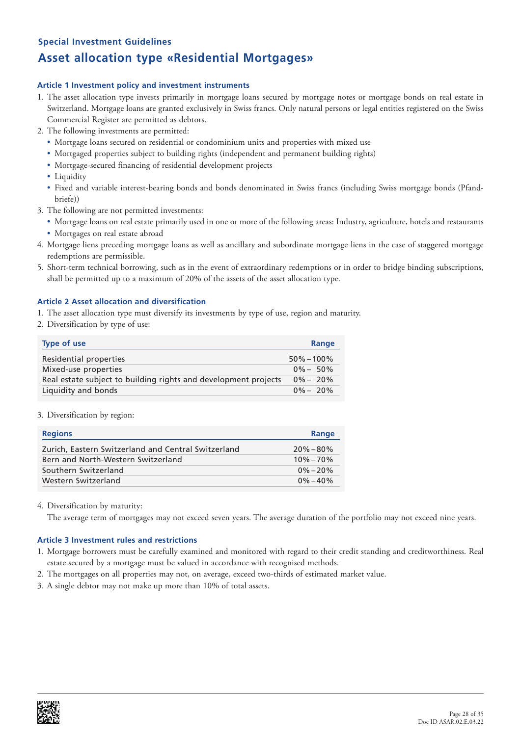### **Special Investment Guidelines**

# **Asset allocation type «Residential Mortgages»**

### **Article 1 Investment policy and investment instruments**

- 1. The asset allocation type invests primarily in mortgage loans secured by mortgage notes or mortgage bonds on real estate in Switzerland. Mortgage loans are granted exclusively in Swiss francs. Only natural persons or legal entities registered on the Swiss Commercial Register are permitted as debtors.
- 2. The following investments are permitted:
	- Mortgage loans secured on residential or condominium units and properties with mixed use
	- Mortgaged properties subject to building rights (independent and permanent building rights)
	- Mortgage-secured financing of residential development projects
	- Liquidity
	- Fixed and variable interest-bearing bonds and bonds denominated in Swiss francs (including Swiss mortgage bonds (Pfandbriefe))
- 3. The following are not permitted investments:
	- Mortgage loans on real estate primarily used in one or more of the following areas: Industry, agriculture, hotels and restaurants • Mortgages on real estate abroad
- 4. Mortgage liens preceding mortgage loans as well as ancillary and subordinate mortgage liens in the case of staggered mortgage redemptions are permissible.
- 5. Short-term technical borrowing, such as in the event of extraordinary redemptions or in order to bridge binding subscriptions, shall be permitted up to a maximum of 20% of the assets of the asset allocation type.

### **Article 2 Asset allocation and diversification**

- 1. The asset allocation type must diversify its investments by type of use, region and maturity.
- 2. Diversification by type of use:

| <b>Type of use</b>                                              | Range          |
|-----------------------------------------------------------------|----------------|
| Residential properties                                          | $50\% - 100\%$ |
| Mixed-use properties                                            | $0\% - 50\%$   |
| Real estate subject to building rights and development projects | $0\% - 20\%$   |
| Liquidity and bonds                                             | $0\% - 20\%$   |

### 3. Diversification by region:

| <b>Regions</b>                                      | Range         |
|-----------------------------------------------------|---------------|
| Zurich, Eastern Switzerland and Central Switzerland | $20\% - 80\%$ |
| Bern and North-Western Switzerland                  | $10\% - 70\%$ |
| Southern Switzerland                                | $0\% - 20\%$  |
| Western Switzerland                                 | $0\% - 40\%$  |

4. Diversification by maturity:

The average term of mortgages may not exceed seven years. The average duration of the portfolio may not exceed nine years.

### **Article 3 Investment rules and restrictions**

- 1. Mortgage borrowers must be carefully examined and monitored with regard to their credit standing and creditworthiness. Real estate secured by a mortgage must be valued in accordance with recognised methods.
- 2. The mortgages on all properties may not, on average, exceed two-thirds of estimated market value.
- 3. A single debtor may not make up more than 10% of total assets.

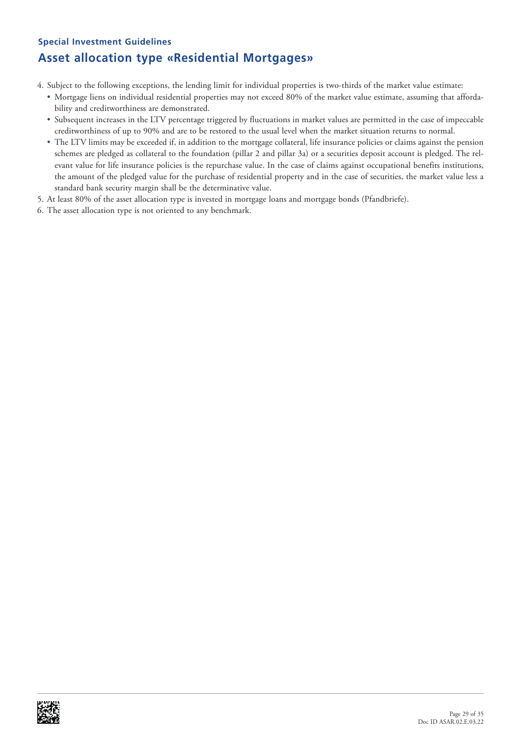# **Special Investment Guidelines Asset allocation type «Residential Mortgages»**

4. Subject to the following exceptions, the lending limit for individual properties is two-thirds of the market value estimate:

- Mortgage liens on individual residential properties may not exceed 80% of the market value estimate, assuming that affordability and creditworthiness are demonstrated.
- Subsequent increases in the LTV percentage triggered by fluctuations in market values are permitted in the case of impeccable creditworthiness of up to 90% and are to be restored to the usual level when the market situation returns to normal.
- The LTV limits may be exceeded if, in addition to the mortgage collateral, life insurance policies or claims against the pension schemes are pledged as collateral to the foundation (pillar 2 and pillar 3a) or a securities deposit account is pledged. The relevant value for life insurance policies is the repurchase value. In the case of claims against occupational benefits institutions, the amount of the pledged value for the purchase of residential property and in the case of securities, the market value less a standard bank security margin shall be the determinative value.
- 5. At least 80% of the asset allocation type is invested in mortgage loans and mortgage bonds (Pfandbriefe).
- 6. The asset allocation type is not oriented to any benchmark.

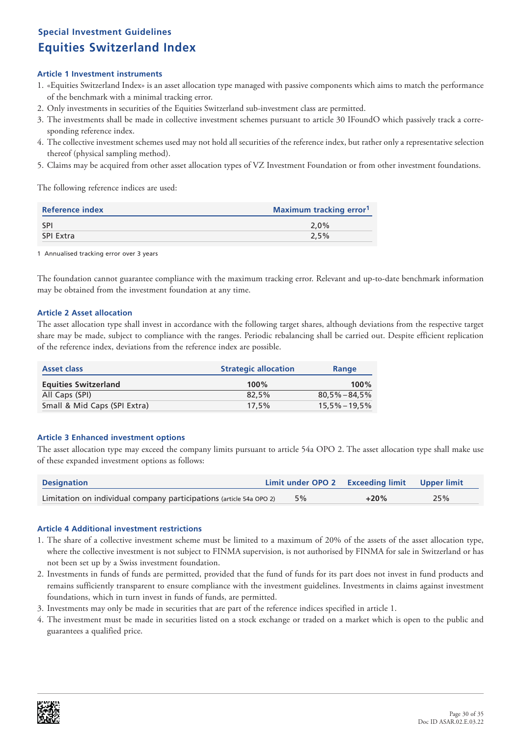# **Special Investment Guidelines Equities Switzerland Index**

### **Article 1 Investment instruments**

- 1. «Equities Switzerland Index» is an asset allocation type managed with passive components which aims to match the performance of the benchmark with a minimal tracking error.
- 2. Only investments in securities of the Equities Switzerland sub-investment class are permitted.
- 3. The investments shall be made in collective investment schemes pursuant to article 30 IFoundO which passively track a corresponding reference index.
- 4. The collective investment schemes used may not hold all securities of the reference index, but rather only a representative selection thereof (physical sampling method).
- 5. Claims may be acquired from other asset allocation types of VZ Investment Foundation or from other investment foundations.

The following reference indices are used:

| Reference index | <b>Maximum tracking error</b> <sup>1</sup> |
|-----------------|--------------------------------------------|
| <b>SPI</b>      | $2.0\%$                                    |
| SPI Extra       | 2.5%                                       |
|                 |                                            |

1 Annualised tracking error over 3 years

The foundation cannot guarantee compliance with the maximum tracking error. Relevant and up-to-date benchmark information may be obtained from the investment foundation at any time.

### **Article 2 Asset allocation**

The asset allocation type shall invest in accordance with the following target shares, although deviations from the respective target share may be made, subject to compliance with the ranges. Periodic rebalancing shall be carried out. Despite efficient replication of the reference index, deviations from the reference index are possible.

| <b>Asset class</b>           | <b>Strategic allocation</b> | Range             |
|------------------------------|-----------------------------|-------------------|
| <b>Equities Switzerland</b>  | 100%                        | $100\%$           |
| All Caps (SPI)               | 82.5%                       | $80.5\% - 84.5\%$ |
| Small & Mid Caps (SPI Extra) | $17.5\%$                    | $15.5\% - 19.5\%$ |

### **Article 3 Enhanced investment options**

The asset allocation type may exceed the company limits pursuant to article 54a OPO 2. The asset allocation type shall make use of these expanded investment options as follows:

| <b>Designation</b>                                                  |    | Limit under OPO 2 Exceeding limit Upper limit |     |
|---------------------------------------------------------------------|----|-----------------------------------------------|-----|
| Limitation on individual company participations (article 54a OPO 2) | 5% | $+20%$                                        | 25% |

- 1. The share of a collective investment scheme must be limited to a maximum of 20% of the assets of the asset allocation type, where the collective investment is not subject to FINMA supervision, is not authorised by FINMA for sale in Switzerland or has not been set up by a Swiss investment foundation.
- 2. Investments in funds of funds are permitted, provided that the fund of funds for its part does not invest in fund products and remains sufficiently transparent to ensure compliance with the investment guidelines. Investments in claims against investment foundations, which in turn invest in funds of funds, are permitted.
- 3. Investments may only be made in securities that are part of the reference indices specified in article 1.
- 4. The investment must be made in securities listed on a stock exchange or traded on a market which is open to the public and guarantees a qualified price.

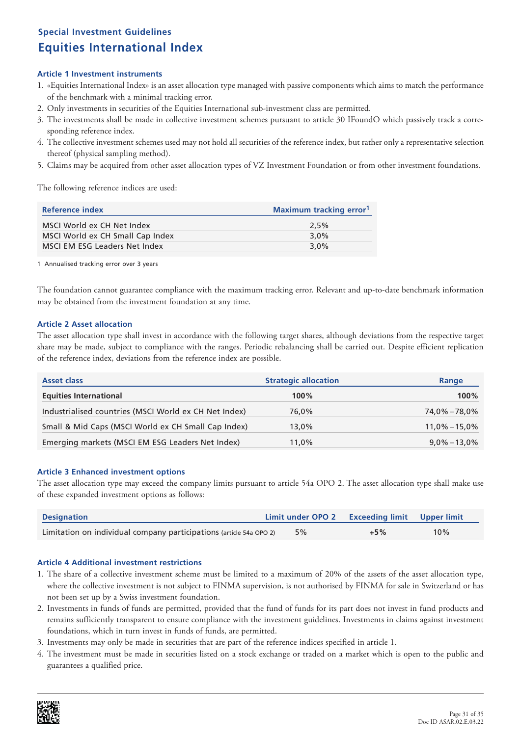# **Special Investment Guidelines Equities International Index**

### **Article 1 Investment instruments**

- 1. «Equities International Index» is an asset allocation type managed with passive components which aims to match the performance of the benchmark with a minimal tracking error.
- 2. Only investments in securities of the Equities International sub-investment class are permitted.
- 3. The investments shall be made in collective investment schemes pursuant to article 30 IFoundO which passively track a corresponding reference index.
- 4. The collective investment schemes used may not hold all securities of the reference index, but rather only a representative selection thereof (physical sampling method).
- 5. Claims may be acquired from other asset allocation types of VZ Investment Foundation or from other investment foundations.

The following reference indices are used:

| Reference index                  | <b>Maximum tracking error</b> <sup>1</sup> |  |
|----------------------------------|--------------------------------------------|--|
| MSCI World ex CH Net Index       | 2.5%                                       |  |
| MSCI World ex CH Small Cap Index | $3.0\%$                                    |  |
| MSCI EM ESG Leaders Net Index    | 3.0%                                       |  |

1 Annualised tracking error over 3 years

The foundation cannot guarantee compliance with the maximum tracking error. Relevant and up-to-date benchmark information may be obtained from the investment foundation at any time.

### **Article 2 Asset allocation**

The asset allocation type shall invest in accordance with the following target shares, although deviations from the respective target share may be made, subject to compliance with the ranges. Periodic rebalancing shall be carried out. Despite efficient replication of the reference index, deviations from the reference index are possible.

| <b>Asset class</b>                                    | <b>Strategic allocation</b> | Range             |
|-------------------------------------------------------|-----------------------------|-------------------|
| <b>Equities International</b>                         | $100\%$                     | 100%              |
| Industrialised countries (MSCI World ex CH Net Index) | 76.0%                       | $74.0\% - 78.0\%$ |
| Small & Mid Caps (MSCI World ex CH Small Cap Index)   | 13.0%                       | $11,0\% - 15,0\%$ |
| Emerging markets (MSCI EM ESG Leaders Net Index)      | 11,0%                       | $9.0\% - 13.0\%$  |

### **Article 3 Enhanced investment options**

The asset allocation type may exceed the company limits pursuant to article 54a OPO 2. The asset allocation type shall make use of these expanded investment options as follows:

| <b>Designation</b>                                                  | Limit under OPO 2 Exceeding limit Upper limit |       |     |
|---------------------------------------------------------------------|-----------------------------------------------|-------|-----|
| Limitation on individual company participations (article 54a OPO 2) | 5%                                            | $+5%$ | 10% |

- 1. The share of a collective investment scheme must be limited to a maximum of 20% of the assets of the asset allocation type, where the collective investment is not subject to FINMA supervision, is not authorised by FINMA for sale in Switzerland or has not been set up by a Swiss investment foundation.
- 2. Investments in funds of funds are permitted, provided that the fund of funds for its part does not invest in fund products and remains sufficiently transparent to ensure compliance with the investment guidelines. Investments in claims against investment foundations, which in turn invest in funds of funds, are permitted.
- 3. Investments may only be made in securities that are part of the reference indices specified in article 1.
- 4. The investment must be made in securities listed on a stock exchange or traded on a market which is open to the public and guarantees a qualified price.

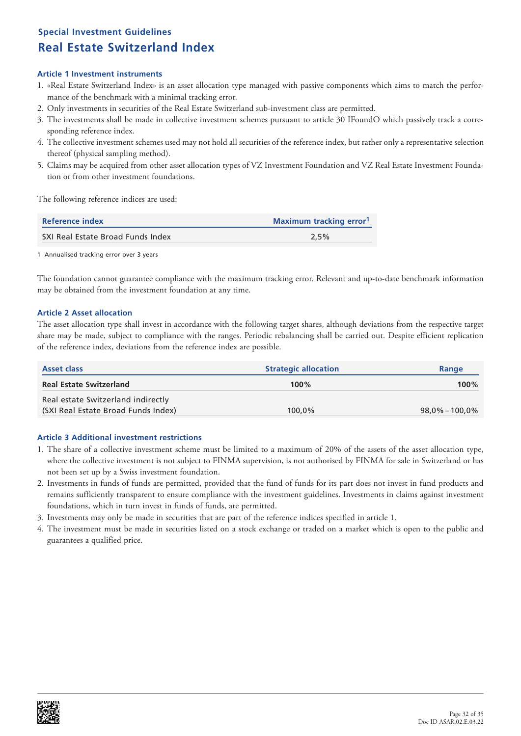# **Special Investment Guidelines Real Estate Switzerland Index**

### **Article 1 Investment instruments**

- 1. «Real Estate Switzerland Index» is an asset allocation type managed with passive components which aims to match the performance of the benchmark with a minimal tracking error.
- 2. Only investments in securities of the Real Estate Switzerland sub-investment class are permitted.
- 3. The investments shall be made in collective investment schemes pursuant to article 30 IFoundO which passively track a corresponding reference index.
- 4. The collective investment schemes used may not hold all securities of the reference index, but rather only a representative selection thereof (physical sampling method).
- 5. Claims may be acquired from other asset allocation types of VZ Investment Foundation and VZ Real Estate Investment Foundation or from other investment foundations.

The following reference indices are used:

| Reference index                   | <b>Maximum tracking error</b> <sup>1</sup> |  |
|-----------------------------------|--------------------------------------------|--|
| SXI Real Estate Broad Funds Index | $2.5\%$                                    |  |
|                                   |                                            |  |

1 Annualised tracking error over 3 years

The foundation cannot guarantee compliance with the maximum tracking error. Relevant and up-to-date benchmark information may be obtained from the investment foundation at any time.

### **Article 2 Asset allocation**

The asset allocation type shall invest in accordance with the following target shares, although deviations from the respective target share may be made, subject to compliance with the ranges. Periodic rebalancing shall be carried out. Despite efficient replication of the reference index, deviations from the reference index are possible.

| <b>Asset class</b>                  | <b>Strategic allocation</b> | Range              |
|-------------------------------------|-----------------------------|--------------------|
| <b>Real Estate Switzerland</b>      | 100%                        | $100\%$            |
| Real estate Switzerland indirectly  |                             |                    |
| (SXI Real Estate Broad Funds Index) | 100.0%                      | $98.0\% - 100.0\%$ |

- 1. The share of a collective investment scheme must be limited to a maximum of 20% of the assets of the asset allocation type, where the collective investment is not subject to FINMA supervision, is not authorised by FINMA for sale in Switzerland or has not been set up by a Swiss investment foundation.
- 2. Investments in funds of funds are permitted, provided that the fund of funds for its part does not invest in fund products and remains sufficiently transparent to ensure compliance with the investment guidelines. Investments in claims against investment foundations, which in turn invest in funds of funds, are permitted.
- 3. Investments may only be made in securities that are part of the reference indices specified in article 1.
- 4. The investment must be made in securities listed on a stock exchange or traded on a market which is open to the public and guarantees a qualified price.

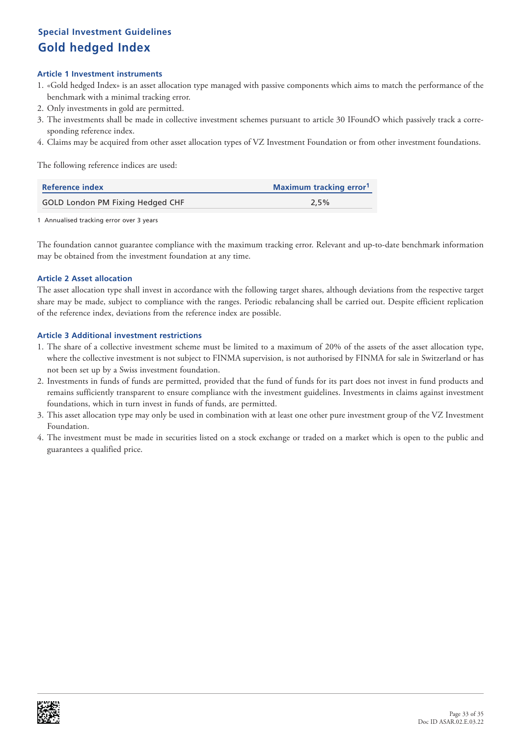# **Special Investment Guidelines Gold hedged Index**

### **Article 1 Investment instruments**

- 1. «Gold hedged Index» is an asset allocation type managed with passive components which aims to match the performance of the benchmark with a minimal tracking error.
- 2. Only investments in gold are permitted.
- 3. The investments shall be made in collective investment schemes pursuant to article 30 IFoundO which passively track a corresponding reference index.
- 4. Claims may be acquired from other asset allocation types of VZ Investment Foundation or from other investment foundations.

The following reference indices are used:

| <b>Reference index</b>           | <b>Maximum tracking error</b> |  |
|----------------------------------|-------------------------------|--|
| GOLD London PM Fixing Hedged CHF | 2.5%                          |  |

1 Annualised tracking error over 3 years

The foundation cannot guarantee compliance with the maximum tracking error. Relevant and up-to-date benchmark information may be obtained from the investment foundation at any time.

### **Article 2 Asset allocation**

The asset allocation type shall invest in accordance with the following target shares, although deviations from the respective target share may be made, subject to compliance with the ranges. Periodic rebalancing shall be carried out. Despite efficient replication of the reference index, deviations from the reference index are possible.

- 1. The share of a collective investment scheme must be limited to a maximum of 20% of the assets of the asset allocation type, where the collective investment is not subject to FINMA supervision, is not authorised by FINMA for sale in Switzerland or has not been set up by a Swiss investment foundation.
- 2. Investments in funds of funds are permitted, provided that the fund of funds for its part does not invest in fund products and remains sufficiently transparent to ensure compliance with the investment guidelines. Investments in claims against investment foundations, which in turn invest in funds of funds, are permitted.
- 3. This asset allocation type may only be used in combination with at least one other pure investment group of the VZ Investment Foundation.
- 4. The investment must be made in securities listed on a stock exchange or traded on a market which is open to the public and guarantees a qualified price.

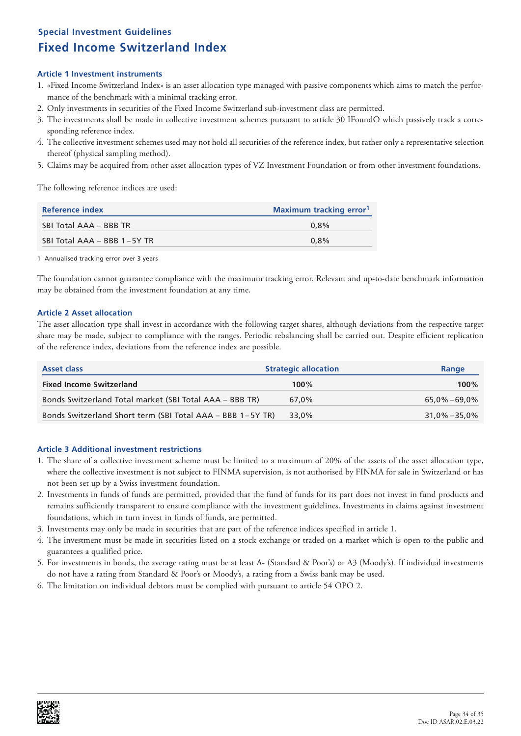# **Special Investment Guidelines Fixed Income Switzerland Index**

### **Article 1 Investment instruments**

- 1. «Fixed Income Switzerland Index» is an asset allocation type managed with passive components which aims to match the performance of the benchmark with a minimal tracking error.
- 2. Only investments in securities of the Fixed Income Switzerland sub-investment class are permitted.
- 3. The investments shall be made in collective investment schemes pursuant to article 30 IFoundO which passively track a corresponding reference index.
- 4. The collective investment schemes used may not hold all securities of the reference index, but rather only a representative selection thereof (physical sampling method).
- 5. Claims may be acquired from other asset allocation types of VZ Investment Foundation or from other investment foundations.

The following reference indices are used:

| Reference index             | Maximum tracking error <sup>1</sup> |  |  |
|-----------------------------|-------------------------------------|--|--|
| SBI Total AAA - BBB TR      | $0.8\%$                             |  |  |
| SBI Total AAA - BBB 1-5Y TR | $0.8\%$                             |  |  |

1 Annualised tracking error over 3 years

The foundation cannot guarantee compliance with the maximum tracking error. Relevant and up-to-date benchmark information may be obtained from the investment foundation at any time.

### **Article 2 Asset allocation**

The asset allocation type shall invest in accordance with the following target shares, although deviations from the respective target share may be made, subject to compliance with the ranges. Periodic rebalancing shall be carried out. Despite efficient replication of the reference index, deviations from the reference index are possible.

| <b>Asset class</b>                                         | <b>Strategic allocation</b> | Range             |
|------------------------------------------------------------|-----------------------------|-------------------|
| <b>Fixed Income Switzerland</b>                            | $100\%$                     | $100\%$           |
| Bonds Switzerland Total market (SBI Total AAA - BBB TR)    | 67.0%                       | 65,0% – 69,0%     |
| Bonds Switzerland Short term (SBI Total AAA - BBB 1-5Y TR) | 33.0%                       | $31.0\% - 35.0\%$ |

- 1. The share of a collective investment scheme must be limited to a maximum of 20% of the assets of the asset allocation type, where the collective investment is not subject to FINMA supervision, is not authorised by FINMA for sale in Switzerland or has not been set up by a Swiss investment foundation.
- 2. Investments in funds of funds are permitted, provided that the fund of funds for its part does not invest in fund products and remains sufficiently transparent to ensure compliance with the investment guidelines. Investments in claims against investment foundations, which in turn invest in funds of funds, are permitted.
- 3. Investments may only be made in securities that are part of the reference indices specified in article 1.
- 4. The investment must be made in securities listed on a stock exchange or traded on a market which is open to the public and guarantees a qualified price.
- 5. For investments in bonds, the average rating must be at least A- (Standard & Poor's) or A3 (Moody's). If individual investments do not have a rating from Standard & Poor's or Moody's, a rating from a Swiss bank may be used.
- 6. The limitation on individual debtors must be complied with pursuant to article 54 OPO 2.